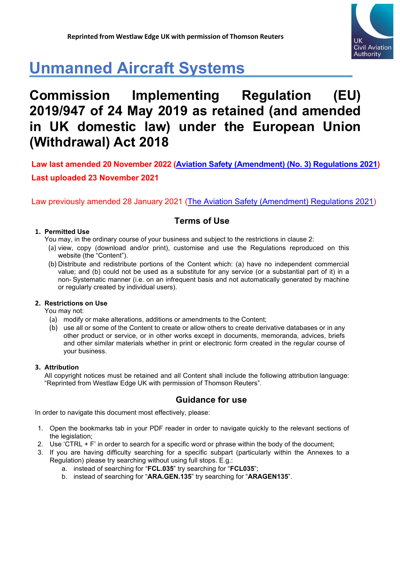

# **Unmanned Aircraft Systems**

# **Commission Implementing Regulation (EU) 2019/947 of 24 May 2019 as retained (and amended in UK domestic law) under the European Union (Withdrawal) Act 2018**

Law previously amended 28 January 2021 [\(The Aviation Safety \(Amendment\) Regulations 2021\)](https://www.legislation.gov.uk/uksi/2021/10/contents/made)

## **Terms of Use**

#### **1. Permitted Use**

You may, in the ordinary course of your business and subject to the restrictions in clause 2:

- (a) view, copy (download and/or print), customise and use the Regulations reproduced on this website (the "Content").
- (b) Distribute and redistribute portions of the Content which: (a) have no independent commercial value; and (b) could not be used as a substitute for any service (or a substantial part of it) in a non- Systematic manner (i.e. on an infrequent basis and not automatically generated by machine or regularly created by individual users).

### **2. Restrictions on Use**

You may not:

- (a) modify or make alterations, additions or amendments to the Content;
- (b) use all or some of the Content to create or allow others to create derivative databases or in any other product or service, or in other works except in documents, memoranda, advices, briefs and other similar materials whether in print or electronic form created in the regular course of your business.

#### **3. Attribution**

All copyright notices must be retained and all Content shall include the following attribution language: "Reprinted from Westlaw Edge UK with permission of Thomson Reuters".

## **Guidance for use**

In order to navigate this document most effectively, please:

- 1. Open the bookmarks tab in your PDF reader in order to navigate quickly to the relevant sections of the legislation;
- 2. Use 'CTRL + F' in order to search for a specific word or phrase within the body of the document;
- 3. If you are having difficulty searching for a specific subpart (particularly within the Annexes to a Regulation) please try searching without using full stops. E.g.:
	- a. instead of searching for "**FCL.035**" try searching for "**FCL035**";
	- b. instead of searching for "**ARA.GEN.135**" try searching for "**ARAGEN135**".

**Law last amended 20 November 2022 [\(Aviation Safety \(Amendment\) \(No. 3\) Regulations 2021\)](https://www.legislation.gov.uk/uksi/2021/1203/contents/made) Last uploaded 23 November 2021**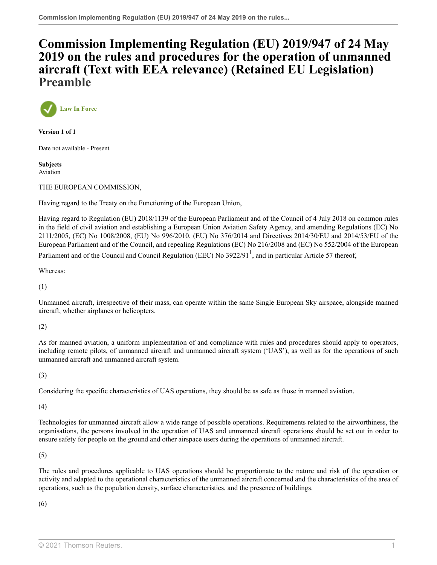## **[Commission Implementing Regulation \(EU\) 2019/947 of 24 May](http://uk.westlaw.com/Document/I80116B200F6911EB8EC08CC5CC2763DD/View/FullText.html?originationContext=document&transitionType=DocumentItem&vr=3.0&rs=PLUK1.0&contextData=(sc.Search)) [2019 on the rules and procedures for the operation of unmanned](http://uk.westlaw.com/Document/I80116B200F6911EB8EC08CC5CC2763DD/View/FullText.html?originationContext=document&transitionType=DocumentItem&vr=3.0&rs=PLUK1.0&contextData=(sc.Search)) [aircraft \(Text with EEA relevance\) \(Retained EU Legislation\)](http://uk.westlaw.com/Document/I80116B200F6911EB8EC08CC5CC2763DD/View/FullText.html?originationContext=document&transitionType=DocumentItem&vr=3.0&rs=PLUK1.0&contextData=(sc.Search)) Preamble**



**Version 1 of 1**

Date not available - Present

**Subjects** Aviation

THE EUROPEAN COMMISSION,

Having regard to the Treaty on the Functioning of the European Union,

Having regard to Regulation (EU) 2018/1139 of the European Parliament and of the Council of 4 July 2018 on common rules in the field of civil aviation and establishing a European Union Aviation Safety Agency, and amending Regulations (EC) No 2111/2005, (EC) No 1008/2008, (EU) No 996/2010, (EU) No 376/2014 and Directives 2014/30/EU and 2014/53/EU of the European Parliament and of the Council, and repealing Regulations (EC) No 216/2008 and (EC) No 552/2004 of the European

<span id="page-1-0"></span>Parliament and of the Council and Council Regulation (EEC) No 3922/9[1](#page-4-0)<sup>1</sup>, and in particular Article 57 thereof,

Whereas:

(1)

Unmanned aircraft, irrespective of their mass, can operate within the same Single European Sky airspace, alongside manned aircraft, whether airplanes or helicopters.

(2)

As for manned aviation, a uniform implementation of and compliance with rules and procedures should apply to operators, including remote pilots, of unmanned aircraft and unmanned aircraft system ('UAS'), as well as for the operations of such unmanned aircraft and unmanned aircraft system.

(3)

Considering the specific characteristics of UAS operations, they should be as safe as those in manned aviation.

(4)

Technologies for unmanned aircraft allow a wide range of possible operations. Requirements related to the airworthiness, the organisations, the persons involved in the operation of UAS and unmanned aircraft operations should be set out in order to ensure safety for people on the ground and other airspace users during the operations of unmanned aircraft.

(5)

The rules and procedures applicable to UAS operations should be proportionate to the nature and risk of the operation or activity and adapted to the operational characteristics of the unmanned aircraft concerned and the characteristics of the area of operations, such as the population density, surface characteristics, and the presence of buildings.

(6)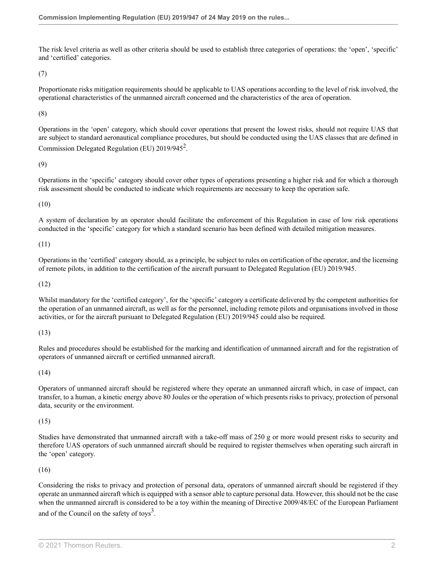The risk level criteria as well as other criteria should be used to establish three categories of operations: the 'open', 'specific' and 'certified' categories.

(7)

Proportionate risks mitigation requirements should be applicable to UAS operations according to the level of risk involved, the operational characteristics of the unmanned aircraft concerned and the characteristics of the area of operation.

(8)

<span id="page-2-0"></span>Operations in the 'open' category, which should cover operations that present the lowest risks, should not require UAS that are subject to standard aeronautical compliance procedures, but should be conducted using the UAS classes that are defined in Commission Delegated Regulation (EU)  $2019/945^2$  $2019/945^2$ .

(9)

Operations in the 'specific' category should cover other types of operations presenting a higher risk and for which a thorough risk assessment should be conducted to indicate which requirements are necessary to keep the operation safe.

(10)

A system of declaration by an operator should facilitate the enforcement of this Regulation in case of low risk operations conducted in the 'specific' category for which a standard scenario has been defined with detailed mitigation measures.

(11)

Operations in the 'certified' category should, as a principle, be subject to rules on certification of the operator, and the licensing of remote pilots, in addition to the certification of the aircraft pursuant to Delegated Regulation (EU) 2019/945.

(12)

Whilst mandatory for the 'certified category', for the 'specific' category a certificate delivered by the competent authorities for the operation of an unmanned aircraft, as well as for the personnel, including remote pilots and organisations involved in those activities, or for the aircraft pursuant to Delegated Regulation (EU) 2019/945 could also be required.

(13)

Rules and procedures should be established for the marking and identification of unmanned aircraft and for the registration of operators of unmanned aircraft or certified unmanned aircraft.

(14)

Operators of unmanned aircraft should be registered where they operate an unmanned aircraft which, in case of impact, can transfer, to a human, a kinetic energy above 80 Joules or the operation of which presents risks to privacy, protection of personal data, security or the environment.

(15)

Studies have demonstrated that unmanned aircraft with a take-off mass of 250 g or more would present risks to security and therefore UAS operators of such unmanned aircraft should be required to register themselves when operating such aircraft in the 'open' category.

(16)

<span id="page-2-1"></span>Considering the risks to privacy and protection of personal data, operators of unmanned aircraft should be registered if they operate an unmanned aircraft which is equipped with a sensor able to capture personal data. However, this should not be the case when the unmanned aircraft is considered to be a toy within the meaning of Directive 2009/48/EC of the European Parliament and of the Council on the safety of toys<sup>[3](#page-4-2)</sup>.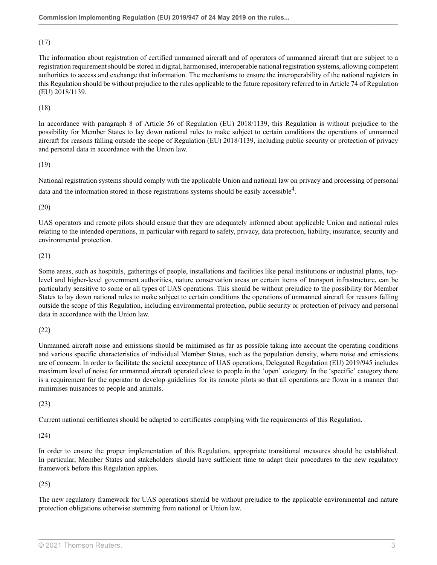(17)

The information about registration of certified unmanned aircraft and of operators of unmanned aircraft that are subject to a registration requirement should be stored in digital, harmonised, interoperable national registration systems, allowing competent authorities to access and exchange that information. The mechanisms to ensure the interoperability of the national registers in this Regulation should be without prejudice to the rules applicable to the future repository referred to in Article 74 of Regulation (EU) 2018/1139.

#### (18)

In accordance with paragraph 8 of Article 56 of Regulation (EU) 2018/1139, this Regulation is without prejudice to the possibility for Member States to lay down national rules to make subject to certain conditions the operations of unmanned aircraft for reasons falling outside the scope of Regulation (EU) 2018/1139, including public security or protection of privacy and personal data in accordance with the Union law.

#### (19)

<span id="page-3-0"></span>National registration systems should comply with the applicable Union and national law on privacy and processing of personal data and the information stored in those registrations systems should be easily accessible<sup>[4](#page-4-3)</sup>.

(20)

UAS operators and remote pilots should ensure that they are adequately informed about applicable Union and national rules relating to the intended operations, in particular with regard to safety, privacy, data protection, liability, insurance, security and environmental protection.

#### (21)

Some areas, such as hospitals, gatherings of people, installations and facilities like penal institutions or industrial plants, toplevel and higher-level government authorities, nature conservation areas or certain items of transport infrastructure, can be particularly sensitive to some or all types of UAS operations. This should be without prejudice to the possibility for Member States to lay down national rules to make subject to certain conditions the operations of unmanned aircraft for reasons falling outside the scope of this Regulation, including environmental protection, public security or protection of privacy and personal data in accordance with the Union law.

(22)

Unmanned aircraft noise and emissions should be minimised as far as possible taking into account the operating conditions and various specific characteristics of individual Member States, such as the population density, where noise and emissions are of concern. In order to facilitate the societal acceptance of UAS operations, Delegated Regulation (EU) 2019/945 includes maximum level of noise for unmanned aircraft operated close to people in the 'open' category. In the 'specific' category there is a requirement for the operator to develop guidelines for its remote pilots so that all operations are flown in a manner that minimises nuisances to people and animals.

(23)

Current national certificates should be adapted to certificates complying with the requirements of this Regulation.

(24)

In order to ensure the proper implementation of this Regulation, appropriate transitional measures should be established. In particular, Member States and stakeholders should have sufficient time to adapt their procedures to the new regulatory framework before this Regulation applies.

#### (25)

The new regulatory framework for UAS operations should be without prejudice to the applicable environmental and nature protection obligations otherwise stemming from national or Union law.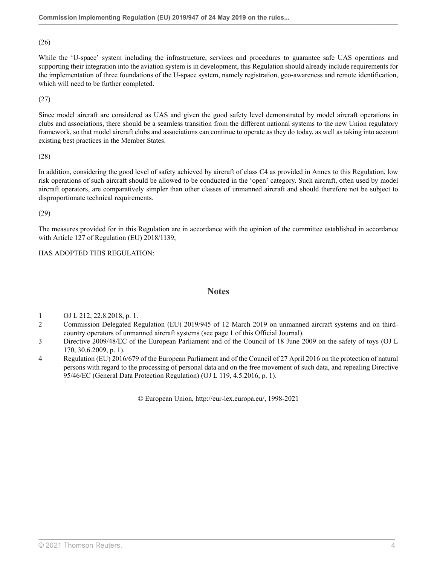(26)

While the 'U-space' system including the infrastructure, services and procedures to guarantee safe UAS operations and supporting their integration into the aviation system is in development, this Regulation should already include requirements for the implementation of three foundations of the U-space system, namely registration, geo-awareness and remote identification, which will need to be further completed.

(27)

Since model aircraft are considered as UAS and given the good safety level demonstrated by model aircraft operations in clubs and associations, there should be a seamless transition from the different national systems to the new Union regulatory framework, so that model aircraft clubs and associations can continue to operate as they do today, as well as taking into account existing best practices in the Member States.

(28)

In addition, considering the good level of safety achieved by aircraft of class C4 as provided in Annex to this Regulation, low risk operations of such aircraft should be allowed to be conducted in the 'open' category. Such aircraft, often used by model aircraft operators, are comparatively simpler than other classes of unmanned aircraft and should therefore not be subject to disproportionate technical requirements.

(29)

The measures provided for in this Regulation are in accordance with the opinion of the committee established in accordance with Article 127 of Regulation (EU) 2018/1139,

#### HAS ADOPTED THIS REGULATION:

#### **Notes**

- <span id="page-4-0"></span>[1](#page-1-0) OJ L 212, 22.8.2018, p. 1.
- <span id="page-4-1"></span>[2](#page-2-0) Commission Delegated Regulation (EU) 2019/945 of 12 March 2019 on unmanned aircraft systems and on thirdcountry operators of unmanned aircraft systems (see page 1 of this Official Journal).
- <span id="page-4-2"></span>[3](#page-2-1) Directive 2009/48/EC of the European Parliament and of the Council of 18 June 2009 on the safety of toys (OJ L 170, 30.6.2009, p. 1).
- <span id="page-4-3"></span>[4](#page-3-0) Regulation (EU) 2016/679 of the European Parliament and of the Council of 27 April 2016 on the protection of natural persons with regard to the processing of personal data and on the free movement of such data, and repealing Directive 95/46/EC (General Data Protection Regulation) (OJ L 119, 4.5.2016, p. 1).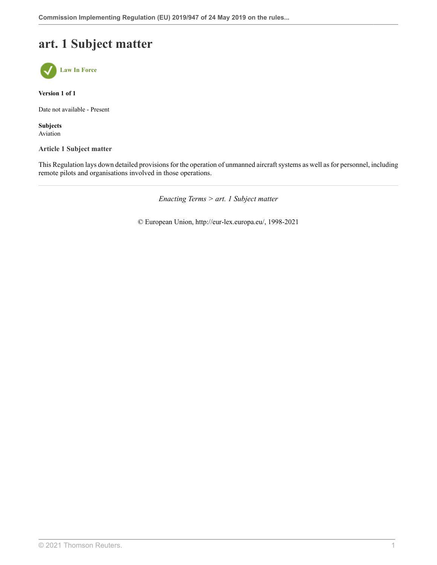# **art. 1 Subject matter**



**Version 1 of 1**

Date not available - Present

**Subjects** Aviation

**Article 1 Subject matter**

This Regulation lays down detailed provisions for the operation of unmanned aircraft systems as well as for personnel, including remote pilots and organisations involved in those operations.

*Enacting Terms > art. 1 Subject matter*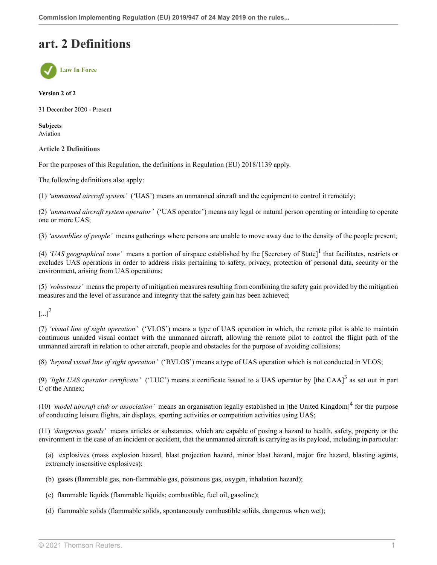## **art. 2 Definitions**



#### **Version 2 of 2**

31 December 2020 - Present

**Subjects** Aviation

#### **Article 2 Definitions**

For the purposes of this Regulation, the definitions in Regulation (EU) 2018/1139 apply.

The following definitions also apply:

(1) *'unmanned aircraft system'* ('UAS') means an unmanned aircraft and the equipment to control it remotely;

(2) *'unmanned aircraft system operator'* ('UAS operator') means any legal or natural person operating or intending to operate one or more UAS;

(3) *'assemblies of people'* means gatherings where persons are unable to move away due to the density of the people present;

<span id="page-6-0"></span>(4) *'UAS geographical zone'* means a portion of airspace established by the [Secretary of State] [1](#page-8-0) that facilitates, restricts or excludes UAS operations in order to address risks pertaining to safety, privacy, protection of personal data, security or the environment, arising from UAS operations;

(5) *'robustness'* means the property of mitigation measures resulting from combining the safety gain provided by the mitigation measures and the level of assurance and integrity that the safety gain has been achieved;

<span id="page-6-1"></span> $[...]^2$  $[...]^2$ 

(7) *'visual line of sight operation'* ('VLOS') means a type of UAS operation in which, the remote pilot is able to maintain continuous unaided visual contact with the unmanned aircraft, allowing the remote pilot to control the flight path of the unmanned aircraft in relation to other aircraft, people and obstacles for the purpose of avoiding collisions;

(8) *'beyond visual line of sight operation'* ('BVLOS') means a type of UAS operation which is not conducted in VLOS;

<span id="page-6-2"></span>(9) *'light UAS operator certificate'* ('LUC') means a certificate issued to a UAS operator by [the CAA]<sup>[3](#page-8-2)</sup> as set out in part C of the Annex;

(10) *'model aircraft club or association'* means an organisation legally established in [the United Kingdom] [4](#page-8-3) for the purpose of conducting leisure flights, air displays, sporting activities or competition activities using UAS;

(11) *'dangerous goods'* means articles or substances, which are capable of posing a hazard to health, safety, property or the environment in the case of an incident or accident, that the unmanned aircraft is carrying as its payload, including in particular:

<span id="page-6-3"></span>(a) explosives (mass explosion hazard, blast projection hazard, minor blast hazard, major fire hazard, blasting agents, extremely insensitive explosives);

- (b) gases (flammable gas, non-flammable gas, poisonous gas, oxygen, inhalation hazard);
- (c) flammable liquids (flammable liquids; combustible, fuel oil, gasoline);
- (d) flammable solids (flammable solids, spontaneously combustible solids, dangerous when wet);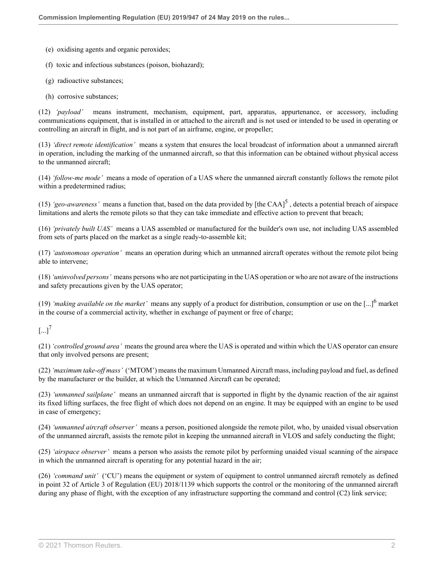- (e) oxidising agents and organic peroxides;
- (f) toxic and infectious substances (poison, biohazard);
- (g) radioactive substances;
- (h) corrosive substances;

(12) *'payload'* means instrument, mechanism, equipment, part, apparatus, appurtenance, or accessory, including communications equipment, that is installed in or attached to the aircraft and is not used or intended to be used in operating or controlling an aircraft in flight, and is not part of an airframe, engine, or propeller;

(13) *'direct remote identification'* means a system that ensures the local broadcast of information about a unmanned aircraft in operation, including the marking of the unmanned aircraft, so that this information can be obtained without physical access to the unmanned aircraft;

(14) *'follow-me mode'* means a mode of operation of a UAS where the unmanned aircraft constantly follows the remote pilot within a predetermined radius;

<span id="page-7-0"></span>(1[5](#page-8-4)) *'geo-awareness'* means a function that, based on the data provided by [the CAA]<sup>5</sup>, detects a potential breach of airspace limitations and alerts the remote pilots so that they can take immediate and effective action to prevent that breach;

(16) *'privately built UAS'* means a UAS assembled or manufactured for the builder's own use, not including UAS assembled from sets of parts placed on the market as a single ready-to-assemble kit;

(17) *'autonomous operation'* means an operation during which an unmanned aircraft operates without the remote pilot being able to intervene;

(18) *'uninvolved persons'* means persons who are not participating in the UAS operation or who are not aware of the instructions and safety precautions given by the UAS operator;

<span id="page-7-1"></span>(19) *'making available on the market'* means any supply of a product for distribution, consumption or use on the  $[...]^6$  $[...]^6$  market in the course of a commercial activity, whether in exchange of payment or free of charge;

### <span id="page-7-2"></span> $[...]^7$  $[...]^7$

(21) *'controlled ground area'* means the ground area where the UAS is operated and within which the UAS operator can ensure that only involved persons are present;

(22) *'maximum take-off mass'* ('MTOM') means the maximum Unmanned Aircraft mass, including payload and fuel, as defined by the manufacturer or the builder, at which the Unmanned Aircraft can be operated;

(23) *'unmanned sailplane'* means an unmanned aircraft that is supported in flight by the dynamic reaction of the air against its fixed lifting surfaces, the free flight of which does not depend on an engine. It may be equipped with an engine to be used in case of emergency;

(24) *'unmanned aircraft observer'* means a person, positioned alongside the remote pilot, who, by unaided visual observation of the unmanned aircraft, assists the remote pilot in keeping the unmanned aircraft in VLOS and safely conducting the flight;

(25) *'airspace observer'* means a person who assists the remote pilot by performing unaided visual scanning of the airspace in which the unmanned aircraft is operating for any potential hazard in the air;

(26) *'command unit'* ('CU') means the equipment or system of equipment to control unmanned aircraft remotely as defined in point 32 of Article 3 of Regulation (EU) 2018/1139 which supports the control or the monitoring of the unmanned aircraft during any phase of flight, with the exception of any infrastructure supporting the command and control (C2) link service;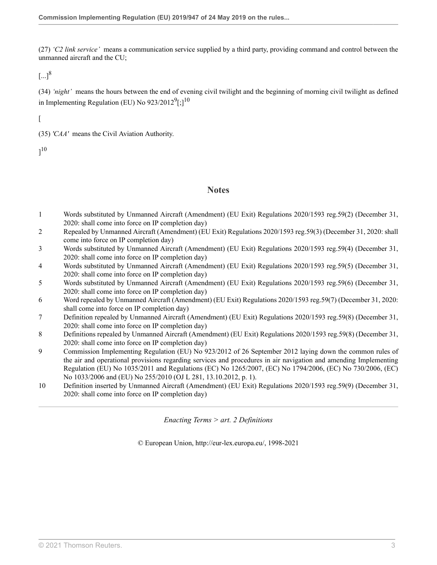(27) *'C2 link service'* means a communication service supplied by a third party, providing command and control between the unmanned aircraft and the CU;

<span id="page-8-10"></span> $\lceil ... \rceil^8$  $\lceil ... \rceil^8$ 

(34) *'night'* means the hours between the end of evening civil twilight and the beginning of morning civil twilight as defined in Implementing Regulation (EU) No  $923/2012^9$  $923/2012^9$ [;] $^{10}$  $^{10}$  $^{10}$ 

 $\sqrt{2}$ 

(35) *'CAA'* means the Civil Aviation Authority.

 $]^{10}$  $]^{10}$  $]^{10}$ 

### <span id="page-8-12"></span><span id="page-8-11"></span>**Notes**

- <span id="page-8-0"></span>[1](#page-6-0) Words substituted by Unmanned Aircraft (Amendment) (EU Exit) Regulations 2020/1593 [reg.59\(2\)](http://uk.westlaw.com/Document/ID74E55E042D311EB9399B753ED3F9B92/View/FullText.html?originationContext=document&transitionType=DocumentItem&vr=3.0&rs=PLUK1.0&contextData=(sc.Search)) (December 31, 2020: shall come into force on IP completion day)
- <span id="page-8-1"></span>[2](#page-6-1) Repealed by Unmanned Aircraft (Amendment) (EU Exit) Regulations 2020/1593 [reg.59\(3\)](http://uk.westlaw.com/Document/ID74E55E042D311EB9399B753ED3F9B92/View/FullText.html?originationContext=document&transitionType=DocumentItem&vr=3.0&rs=PLUK1.0&contextData=(sc.Search)) (December 31, 2020: shall come into force on IP completion day)
- <span id="page-8-2"></span>[3](#page-6-2) Words substituted by Unmanned Aircraft (Amendment) (EU Exit) Regulations 2020/1593 [reg.59\(4\)](http://uk.westlaw.com/Document/ID74E55E042D311EB9399B753ED3F9B92/View/FullText.html?originationContext=document&transitionType=DocumentItem&vr=3.0&rs=PLUK1.0&contextData=(sc.Search)) (December 31, 2020: shall come into force on IP completion day)
- <span id="page-8-3"></span>[4](#page-6-3) Words substituted by Unmanned Aircraft (Amendment) (EU Exit) Regulations 2020/1593 [reg.59\(5\)](http://uk.westlaw.com/Document/ID74E55E042D311EB9399B753ED3F9B92/View/FullText.html?originationContext=document&transitionType=DocumentItem&vr=3.0&rs=PLUK1.0&contextData=(sc.Search)) (December 31, 2020: shall come into force on IP completion day)
- <span id="page-8-4"></span>[5](#page-7-0) Words substituted by Unmanned Aircraft (Amendment) (EU Exit) Regulations 2020/1593 [reg.59\(6\)](http://uk.westlaw.com/Document/ID74E55E042D311EB9399B753ED3F9B92/View/FullText.html?originationContext=document&transitionType=DocumentItem&vr=3.0&rs=PLUK1.0&contextData=(sc.Search)) (December 31, 2020: shall come into force on IP completion day)
- <span id="page-8-5"></span>[6](#page-7-1) Word repealed by Unmanned Aircraft (Amendment) (EU Exit) Regulations 2020/1593 [reg.59\(7\)](http://uk.westlaw.com/Document/ID74E55E042D311EB9399B753ED3F9B92/View/FullText.html?originationContext=document&transitionType=DocumentItem&vr=3.0&rs=PLUK1.0&contextData=(sc.Search)) (December 31, 2020: shall come into force on IP completion day)
- <span id="page-8-6"></span>[7](#page-7-2) Definition repealed by Unmanned Aircraft (Amendment) (EU Exit) Regulations 2020/1593 [reg.59\(8\)](http://uk.westlaw.com/Document/ID74E55E042D311EB9399B753ED3F9B92/View/FullText.html?originationContext=document&transitionType=DocumentItem&vr=3.0&rs=PLUK1.0&contextData=(sc.Search)) (December 31, 2020: shall come into force on IP completion day)
- <span id="page-8-7"></span>[8](#page-8-10) Definitions repealed by Unmanned Aircraft (Amendment) (EU Exit) Regulations 2020/1593 [reg.59\(8\)](http://uk.westlaw.com/Document/ID74E55E042D311EB9399B753ED3F9B92/View/FullText.html?originationContext=document&transitionType=DocumentItem&vr=3.0&rs=PLUK1.0&contextData=(sc.Search)) (December 31, 2020: shall come into force on IP completion day)
- <span id="page-8-8"></span>[9](#page-8-11) Commission Implementing Regulation (EU) No 923/2012 of 26 September 2012 laying down the common rules of the air and operational provisions regarding services and procedures in air navigation and amending Implementing Regulation (EU) No 1035/2011 and Regulations (EC) No 1265/2007, (EC) No 1794/2006, (EC) No 730/2006, (EC) No 1033/2006 and (EU) No 255/2010 (OJ L 281, 13.10.2012, p. 1).
- <span id="page-8-9"></span>[10](#page-8-12) Definition inserted by Unmanned Aircraft (Amendment) (EU Exit) Regulations 2020/1593 [reg.59\(9\)](http://uk.westlaw.com/Document/ID74E55E042D311EB9399B753ED3F9B92/View/FullText.html?originationContext=document&transitionType=DocumentItem&vr=3.0&rs=PLUK1.0&contextData=(sc.Search)) (December 31, 2020: shall come into force on IP completion day)

*Enacting Terms > art. 2 Definitions*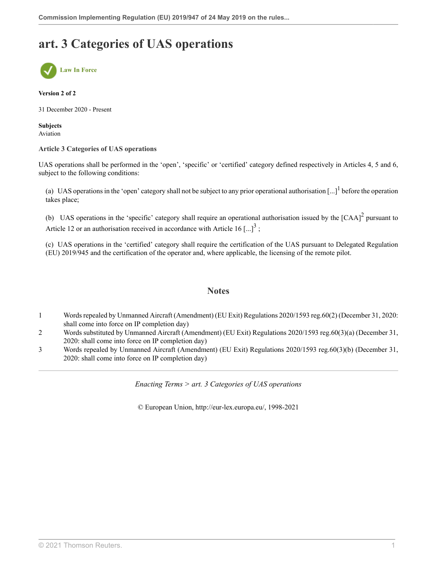# **art. 3 Categories of UAS operations**



#### **Version 2 of 2**

31 December 2020 - Present

**Subjects** Aviation

#### **Article 3 Categories of UAS operations**

UAS operations shall be performed in the 'open', 'specific' or 'certified' category defined respectively in Articles 4, 5 and 6, subject to the following conditions:

(a) UAS operations in the 'open' category shall not be subject to any prior operational authorisation  $\left[...\right]$ <sup>[1](#page-9-0)</sup> before the operation takes place;

(b) UAS operations in the 'specific' category shall require an operational authorisation issued by the  $[CAA]^2$  $[CAA]^2$  pursuant to Article 12 or an authorisation received in accordance with Article 16  $\left[...\right]^3$  $\left[...\right]^3$ ;

(c) UAS operations in the 'certified' category shall require the certification of the UAS pursuant to Delegated Regulation (EU) 2019/945 and the certification of the operator and, where applicable, the licensing of the remote pilot.

#### <span id="page-9-5"></span><span id="page-9-4"></span><span id="page-9-3"></span>**Notes**

- <span id="page-9-0"></span>[1](#page-9-3) Words repealed by Unmanned Aircraft (Amendment) (EU Exit) Regulations 2020/1593 [reg.60\(2\)](http://uk.westlaw.com/Document/I1F9A8DC042D211EB9399B753ED3F9B92/View/FullText.html?originationContext=document&transitionType=DocumentItem&vr=3.0&rs=PLUK1.0&contextData=(sc.Search)) (December 31, 2020: shall come into force on IP completion day)
- <span id="page-9-1"></span>[2](#page-9-4) Words substituted by Unmanned Aircraft (Amendment) (EU Exit) Regulations 2020/1593 [reg.60\(3\)\(a\)](http://uk.westlaw.com/Document/I1F9A8DC042D211EB9399B753ED3F9B92/View/FullText.html?originationContext=document&transitionType=DocumentItem&vr=3.0&rs=PLUK1.0&contextData=(sc.Search)) (December 31, 2020: shall come into force on IP completion day)
- <span id="page-9-2"></span>[3](#page-9-5) Words repealed by Unmanned Aircraft (Amendment) (EU Exit) Regulations 2020/1593 [reg.60\(3\)\(b\)](http://uk.westlaw.com/Document/I1F9A8DC042D211EB9399B753ED3F9B92/View/FullText.html?originationContext=document&transitionType=DocumentItem&vr=3.0&rs=PLUK1.0&contextData=(sc.Search)) (December 31, 2020: shall come into force on IP completion day)

*Enacting Terms > art. 3 Categories of UAS operations*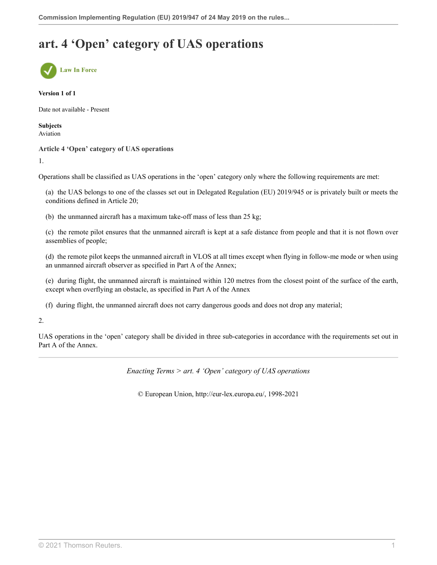# **art. 4 'Open' category of UAS operations**



#### **Version 1 of 1**

Date not available - Present

**Subjects** Aviation

#### **Article 4 'Open' category of UAS operations**

1.

Operations shall be classified as UAS operations in the 'open' category only where the following requirements are met:

(a) the UAS belongs to one of the classes set out in Delegated Regulation (EU) 2019/945 or is privately built or meets the conditions defined in Article 20;

(b) the unmanned aircraft has a maximum take-off mass of less than 25 kg;

(c) the remote pilot ensures that the unmanned aircraft is kept at a safe distance from people and that it is not flown over assemblies of people;

(d) the remote pilot keeps the unmanned aircraft in VLOS at all times except when flying in follow-me mode or when using an unmanned aircraft observer as specified in Part A of the Annex;

(e) during flight, the unmanned aircraft is maintained within 120 metres from the closest point of the surface of the earth, except when overflying an obstacle, as specified in Part A of the Annex

(f) during flight, the unmanned aircraft does not carry dangerous goods and does not drop any material;

#### 2.

UAS operations in the 'open' category shall be divided in three sub-categories in accordance with the requirements set out in Part A of the Annex.

*Enacting Terms > art. 4 'Open' category of UAS operations*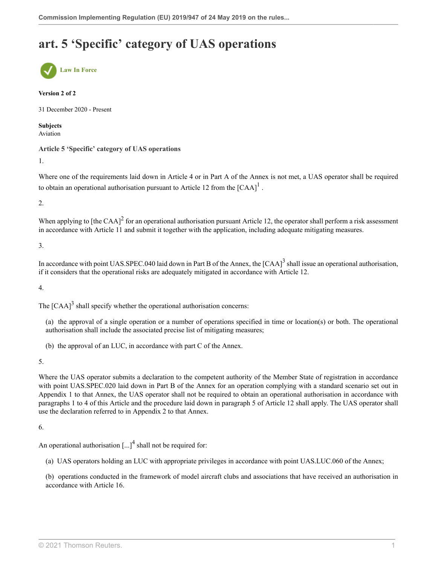# **art. 5 'Specific' category of UAS operations**



#### **Version 2 of 2**

31 December 2020 - Present

**Subjects** Aviation

**Article 5 'Specific' category of UAS operations**

1.

<span id="page-11-0"></span>Where one of the requirements laid down in Article 4 or in Part A of the Annex is not met, a UAS operator shall be required to obtain an operational authorisation pursuant to Article [1](#page-12-0)2 from the  $[{\rm CAA}]^1$ .

2.

<span id="page-11-1"></span>When applying to [the CAA] $^2$  $^2$  for an operational authorisation pursuant Article 12, the operator shall perform a risk assessment in accordance with Article 11 and submit it together with the application, including adequate mitigating measures.

3.

<span id="page-11-2"></span>In accordance with point UAS.SPEC.040 laid down in Part B of the Annex, the  $[CAA]^3$  $[CAA]^3$  shall issue an operational authorisation, if it considers that the operational risks are adequately mitigated in accordance with Article 12.

4.

The  $[CAA]^3$  $[CAA]^3$  shall specify whether the operational authorisation concerns:

(a) the approval of a single operation or a number of operations specified in time or location(s) or both. The operational authorisation shall include the associated precise list of mitigating measures;

(b) the approval of an LUC, in accordance with part C of the Annex.

5.

Where the UAS operator submits a declaration to the competent authority of the Member State of registration in accordance with point UAS.SPEC.020 laid down in Part B of the Annex for an operation complying with a standard scenario set out in Appendix 1 to that Annex, the UAS operator shall not be required to obtain an operational authorisation in accordance with paragraphs 1 to 4 of this Article and the procedure laid down in paragraph 5 of Article 12 shall apply. The UAS operator shall use the declaration referred to in Appendix 2 to that Annex.

6.

An operational authorisation  $\left[...\right]^4$  $\left[...\right]^4$  shall not be required for:

<span id="page-11-3"></span>(a) UAS operators holding an LUC with appropriate privileges in accordance with point UAS.LUC.060 of the Annex;

(b) operations conducted in the framework of model aircraft clubs and associations that have received an authorisation in accordance with Article 16.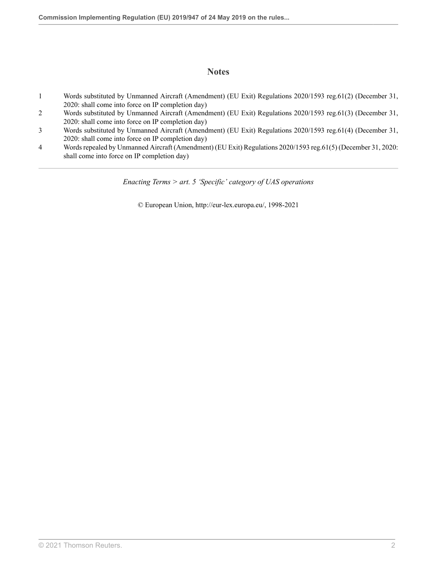### **Notes**

- <span id="page-12-0"></span>[1](#page-11-0) Words substituted by Unmanned Aircraft (Amendment) (EU Exit) Regulations 2020/1593 [reg.61\(2\)](http://uk.westlaw.com/Document/I3042C66042D211EB9399B753ED3F9B92/View/FullText.html?originationContext=document&transitionType=DocumentItem&vr=3.0&rs=PLUK1.0&contextData=(sc.Search)) (December 31, 2020: shall come into force on IP completion day)
- <span id="page-12-1"></span>[2](#page-11-1) Words substituted by Unmanned Aircraft (Amendment) (EU Exit) Regulations 2020/1593 [reg.61\(3\)](http://uk.westlaw.com/Document/I3042C66042D211EB9399B753ED3F9B92/View/FullText.html?originationContext=document&transitionType=DocumentItem&vr=3.0&rs=PLUK1.0&contextData=(sc.Search)) (December 31, 2020: shall come into force on IP completion day)
- <span id="page-12-2"></span>[3](#page-11-2) Words substituted by Unmanned Aircraft (Amendment) (EU Exit) Regulations 2020/1593 [reg.61\(4\)](http://uk.westlaw.com/Document/I3042C66042D211EB9399B753ED3F9B92/View/FullText.html?originationContext=document&transitionType=DocumentItem&vr=3.0&rs=PLUK1.0&contextData=(sc.Search)) (December 31, 2020: shall come into force on IP completion day)
- <span id="page-12-3"></span>[4](#page-11-3) Words repealed by Unmanned Aircraft (Amendment) (EU Exit) Regulations 2020/1593 [reg.61\(5\)](http://uk.westlaw.com/Document/I3042C66042D211EB9399B753ED3F9B92/View/FullText.html?originationContext=document&transitionType=DocumentItem&vr=3.0&rs=PLUK1.0&contextData=(sc.Search)) (December 31, 2020: shall come into force on IP completion day)

*Enacting Terms > art. 5 'Specific' category of UAS operations*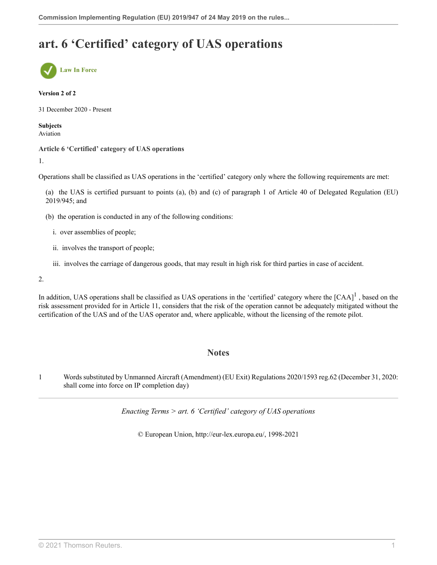# **art. 6 'Certified' category of UAS operations**



#### **Version 2 of 2**

31 December 2020 - Present

**Subjects** Aviation

#### **Article 6 'Certified' category of UAS operations**

1.

Operations shall be classified as UAS operations in the 'certified' category only where the following requirements are met:

(a) the UAS is certified pursuant to points (a), (b) and (c) of paragraph 1 of Article 40 of Delegated Regulation (EU) 2019/945; and

- (b) the operation is conducted in any of the following conditions:
	- i. over assemblies of people;
	- ii. involves the transport of people;
	- iii. involves the carriage of dangerous goods, that may result in high risk for third parties in case of accident.

2.

In addition, UAS operations shall be classified as UAS operations in the 'certified' category where the  $[CAA]$ <sup>[1](#page-13-0)</sup>, based on the risk assessment provided for in Article 11, considers that the risk of the operation cannot be adequately mitigated without the certification of the UAS and of the UAS operator and, where applicable, without the licensing of the remote pilot.

### <span id="page-13-1"></span>**Notes**

<span id="page-13-0"></span>[1](#page-13-1) Words substituted by Unmanned Aircraft (Amendment) (EU Exit) Regulations 2020/1593 [reg.62](http://uk.westlaw.com/Document/IFE94887042D011EB9399B753ED3F9B92/View/FullText.html?originationContext=document&transitionType=DocumentItem&vr=3.0&rs=PLUK1.0&contextData=(sc.Search)) (December 31, 2020: shall come into force on IP completion day)

*Enacting Terms > art. 6 'Certified' category of UAS operations*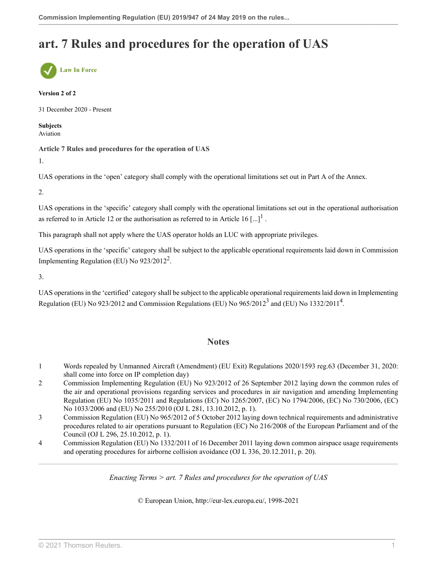# **art. 7 Rules and procedures for the operation of UAS**



#### **Version 2 of 2**

31 December 2020 - Present

**Subjects** Aviation

**Article 7 Rules and procedures for the operation of UAS**

1.

UAS operations in the 'open' category shall comply with the operational limitations set out in Part A of the Annex.

2.

UAS operations in the 'specific' category shall comply with the operational limitations set out in the operational authorisation as referred to in Article [1](#page-14-0)2 or the authorisation as referred to in Article 16 [...]<sup>1</sup>.

This paragraph shall not apply where the UAS operator holds an LUC with appropriate privileges.

UAS operations in the 'specific' category shall be subject to the applicable operational requirements laid down in Commission Implementing Regulation (EU) No  $923/2012^2$  $923/2012^2$  $923/2012^2$ .

3.

UAS operations in the 'certified' category shall be subject to the applicable operational requirements laid down in Implementing Regulation (EU) No 92[3](#page-14-2)/2012 and Commission Regulations (EU) No 965/2012<sup>3</sup> and (EU) No 1332/2011<sup>[4](#page-14-3)</sup>.

### <span id="page-14-7"></span><span id="page-14-6"></span><span id="page-14-5"></span><span id="page-14-4"></span>**Notes**

- <span id="page-14-0"></span>[1](#page-14-4) Words repealed by Unmanned Aircraft (Amendment) (EU Exit) Regulations 2020/1593 [reg.63](http://uk.westlaw.com/Document/I1DA3EDE042D211EB9399B753ED3F9B92/View/FullText.html?originationContext=document&transitionType=DocumentItem&vr=3.0&rs=PLUK1.0&contextData=(sc.Search)) (December 31, 2020: shall come into force on IP completion day)
- <span id="page-14-1"></span>[2](#page-14-5) Commission Implementing Regulation (EU) No 923/2012 of 26 September 2012 laying down the common rules of the air and operational provisions regarding services and procedures in air navigation and amending Implementing Regulation (EU) No 1035/2011 and Regulations (EC) No 1265/2007, (EC) No 1794/2006, (EC) No 730/2006, (EC) No 1033/2006 and (EU) No 255/2010 (OJ L 281, 13.10.2012, p. 1).
- <span id="page-14-2"></span>[3](#page-14-6) Commission Regulation (EU) No 965/2012 of 5 October 2012 laying down technical requirements and administrative procedures related to air operations pursuant to Regulation (EC) No 216/2008 of the European Parliament and of the Council (OJ L 296, 25.10.2012, p. 1).
- <span id="page-14-3"></span>[4](#page-14-7) Commission Regulation (EU) No 1332/2011 of 16 December 2011 laying down common airspace usage requirements and operating procedures for airborne collision avoidance (OJ L 336, 20.12.2011, p. 20).

*Enacting Terms > art. 7 Rules and procedures for the operation of UAS*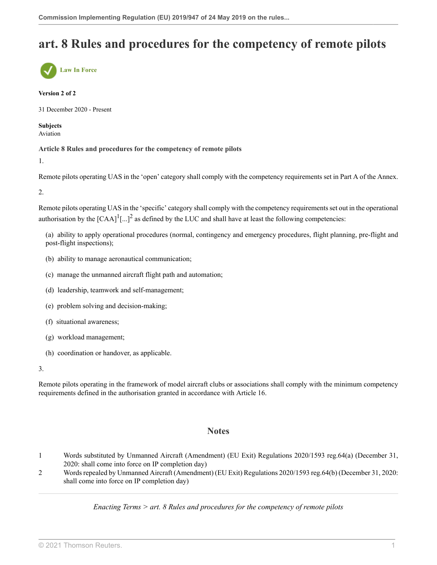# **art. 8 Rules and procedures for the competency of remote pilots**



#### **Version 2 of 2**

31 December 2020 - Present

#### **Subjects** Aviation

**Article 8 Rules and procedures for the competency of remote pilots**

1.

Remote pilots operating UAS in the 'open' category shall comply with the competency requirements set in Part A of the Annex.

2.

Remote pilots operating UAS in the 'specific' category shall comply with the competency requirements set out in the operational authorisation by the  $[CAA]^1$  $[CAA]^1$ [...]<sup>[2](#page-15-1)</sup> as defined by the LUC and shall have at least the following competencies:

<span id="page-15-3"></span><span id="page-15-2"></span>(a) ability to apply operational procedures (normal, contingency and emergency procedures, flight planning, pre-flight and post-flight inspections);

- (b) ability to manage aeronautical communication;
- (c) manage the unmanned aircraft flight path and automation;
- (d) leadership, teamwork and self-management;
- (e) problem solving and decision-making;
- (f) situational awareness;
- (g) workload management;
- (h) coordination or handover, as applicable.

3.

Remote pilots operating in the framework of model aircraft clubs or associations shall comply with the minimum competency requirements defined in the authorisation granted in accordance with Article 16.

### **Notes**

- <span id="page-15-0"></span>[1](#page-15-2) Words substituted by Unmanned Aircraft (Amendment) (EU Exit) Regulations 2020/1593 [reg.64\(a\)](http://uk.westlaw.com/Document/IF834577042D111EB9399B753ED3F9B92/View/FullText.html?originationContext=document&transitionType=DocumentItem&vr=3.0&rs=PLUK1.0&contextData=(sc.Search)) (December 31, 2020: shall come into force on IP completion day)
- <span id="page-15-1"></span>[2](#page-15-3) Words repealed by Unmanned Aircraft (Amendment) (EU Exit) Regulations 2020/1593 [reg.64\(b\)](http://uk.westlaw.com/Document/IF834577042D111EB9399B753ED3F9B92/View/FullText.html?originationContext=document&transitionType=DocumentItem&vr=3.0&rs=PLUK1.0&contextData=(sc.Search)) (December 31, 2020: shall come into force on IP completion day)

*Enacting Terms > art. 8 Rules and procedures for the competency of remote pilots*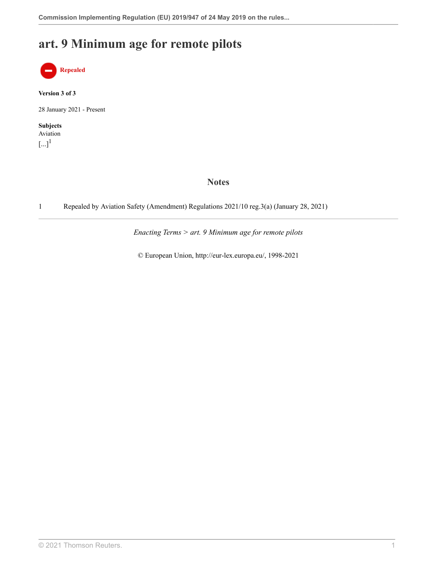# **art. 9 Minimum age for remote pilots**



**Version 3 of 3**

28 January 2021 - Present

<span id="page-17-1"></span>**Subjects** Aviation  $\left[...\right]^{1}$  $\left[...\right]^{1}$  $\left[...\right]^{1}$ 

### **Notes**

<span id="page-17-0"></span>[1](#page-17-1) Repealed by Aviation Safety (Amendment) Regulations 2021/10 [reg.3\(a\)](http://uk.westlaw.com/Document/IE5069A70523D11EBB02597D7573F1600/View/FullText.html?originationContext=document&transitionType=DocumentItem&vr=3.0&rs=PLUK1.0&contextData=(sc.Search)) (January 28, 2021)

*Enacting Terms > art. 9 Minimum age for remote pilots*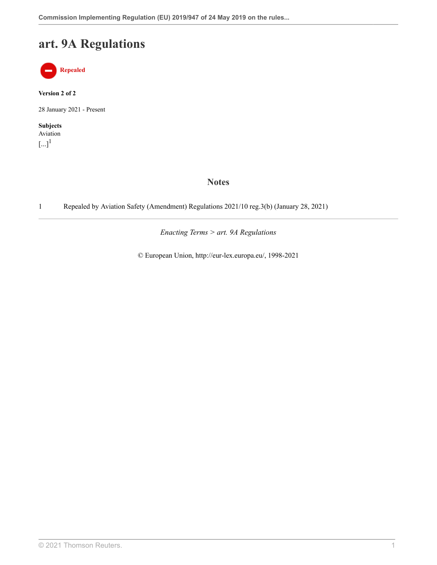# **art. 9A Regulations**



**Version 2 of 2**

28 January 2021 - Present

<span id="page-18-1"></span>**Subjects** Aviation  $\left[...\right]^{1}$  $\left[...\right]^{1}$  $\left[...\right]^{1}$ 

### **Notes**

<span id="page-18-0"></span>[1](#page-18-1) Repealed by Aviation Safety (Amendment) Regulations 2021/10 [reg.3\(b\)](http://uk.westlaw.com/Document/IE5069A70523D11EBB02597D7573F1600/View/FullText.html?originationContext=document&transitionType=DocumentItem&vr=3.0&rs=PLUK1.0&contextData=(sc.Search)) (January 28, 2021)

*Enacting Terms > art. 9A Regulations*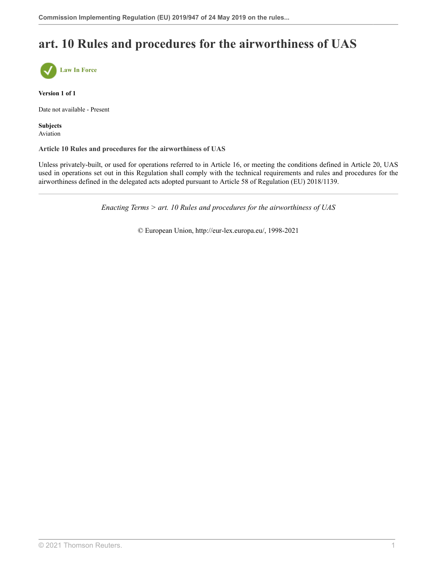# **art. 10 Rules and procedures for the airworthiness of UAS**



**Version 1 of 1**

Date not available - Present

**Subjects** Aviation

**Article 10 Rules and procedures for the airworthiness of UAS**

Unless privately-built, or used for operations referred to in Article 16, or meeting the conditions defined in Article 20, UAS used in operations set out in this Regulation shall comply with the technical requirements and rules and procedures for the airworthiness defined in the delegated acts adopted pursuant to Article 58 of Regulation (EU) 2018/1139.

*Enacting Terms > art. 10 Rules and procedures for the airworthiness of UAS*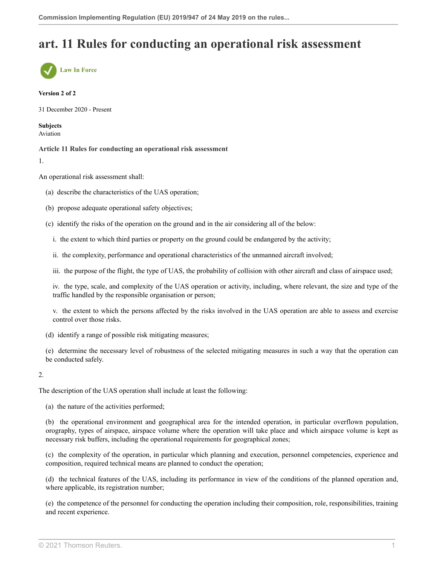## **art. 11 Rules for conducting an operational risk assessment**



#### **Version 2 of 2**

31 December 2020 - Present

**Subjects** Aviation

**Article 11 Rules for conducting an operational risk assessment**

1.

An operational risk assessment shall:

- (a) describe the characteristics of the UAS operation;
- (b) propose adequate operational safety objectives;
- (c) identify the risks of the operation on the ground and in the air considering all of the below:
	- i. the extent to which third parties or property on the ground could be endangered by the activity;
	- ii. the complexity, performance and operational characteristics of the unmanned aircraft involved;
	- iii. the purpose of the flight, the type of UAS, the probability of collision with other aircraft and class of airspace used;

iv. the type, scale, and complexity of the UAS operation or activity, including, where relevant, the size and type of the traffic handled by the responsible organisation or person;

v. the extent to which the persons affected by the risks involved in the UAS operation are able to assess and exercise control over those risks.

- (d) identify a range of possible risk mitigating measures;
- (e) determine the necessary level of robustness of the selected mitigating measures in such a way that the operation can be conducted safely.

#### 2.

The description of the UAS operation shall include at least the following:

(a) the nature of the activities performed;

(b) the operational environment and geographical area for the intended operation, in particular overflown population, orography, types of airspace, airspace volume where the operation will take place and which airspace volume is kept as necessary risk buffers, including the operational requirements for geographical zones;

(c) the complexity of the operation, in particular which planning and execution, personnel competencies, experience and composition, required technical means are planned to conduct the operation;

(d) the technical features of the UAS, including its performance in view of the conditions of the planned operation and, where applicable, its registration number;

(e) the competence of the personnel for conducting the operation including their composition, role, responsibilities, training and recent experience.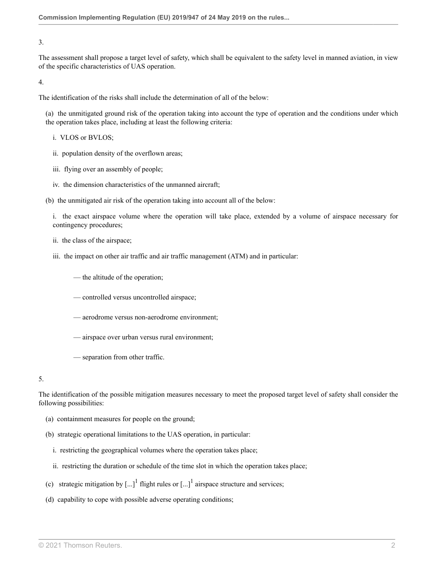3.

The assessment shall propose a target level of safety, which shall be equivalent to the safety level in manned aviation, in view of the specific characteristics of UAS operation.

4.

The identification of the risks shall include the determination of all of the below:

(a) the unmitigated ground risk of the operation taking into account the type of operation and the conditions under which the operation takes place, including at least the following criteria:

- i. VLOS or BVLOS;
- ii. population density of the overflown areas;
- iii. flying over an assembly of people;
- iv. the dimension characteristics of the unmanned aircraft;

(b) the unmitigated air risk of the operation taking into account all of the below:

i. the exact airspace volume where the operation will take place, extended by a volume of airspace necessary for contingency procedures;

- ii. the class of the airspace;
- iii. the impact on other air traffic and air traffic management (ATM) and in particular:

— the altitude of the operation;

- controlled versus uncontrolled airspace;
- aerodrome versus non-aerodrome environment;
- airspace over urban versus rural environment;
- separation from other traffic.

5.

The identification of the possible mitigation measures necessary to meet the proposed target level of safety shall consider the following possibilities:

- (a) containment measures for people on the ground;
- (b) strategic operational limitations to the UAS operation, in particular:
	- i. restricting the geographical volumes where the operation takes place;
	- ii. restricting the duration or schedule of the time slot in which the operation takes place;
- <span id="page-21-0"></span>(c) strategic mitigation by  $\left[\ldots\right]^1$  $\left[\ldots\right]^1$  flight rules or  $\left[\ldots\right]^1$  airspace structure and services;
- (d) capability to cope with possible adverse operating conditions;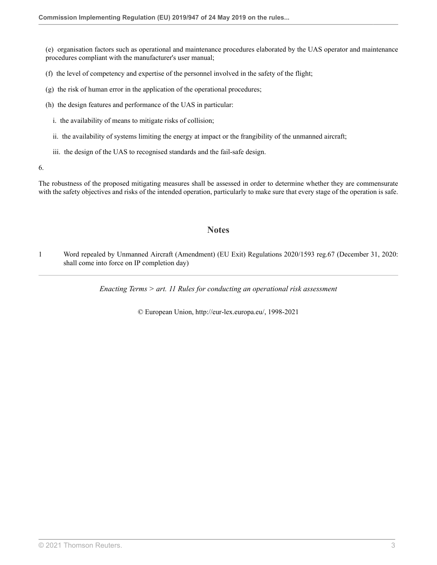(e) organisation factors such as operational and maintenance procedures elaborated by the UAS operator and maintenance procedures compliant with the manufacturer's user manual;

- (f) the level of competency and expertise of the personnel involved in the safety of the flight;
- (g) the risk of human error in the application of the operational procedures;
- (h) the design features and performance of the UAS in particular:
	- i. the availability of means to mitigate risks of collision;
	- ii. the availability of systems limiting the energy at impact or the frangibility of the unmanned aircraft;
	- iii. the design of the UAS to recognised standards and the fail-safe design.

6.

The robustness of the proposed mitigating measures shall be assessed in order to determine whether they are commensurate with the safety objectives and risks of the intended operation, particularly to make sure that every stage of the operation is safe.

### **Notes**

<span id="page-22-0"></span>[1](#page-21-0) Word repealed by Unmanned Aircraft (Amendment) (EU Exit) Regulations 2020/1593 [reg.67](http://uk.westlaw.com/Document/I5DB26D1042CF11EB9399B753ED3F9B92/View/FullText.html?originationContext=document&transitionType=DocumentItem&vr=3.0&rs=PLUK1.0&contextData=(sc.Search)) (December 31, 2020: shall come into force on IP completion day)

*Enacting Terms > art. 11 Rules for conducting an operational risk assessment*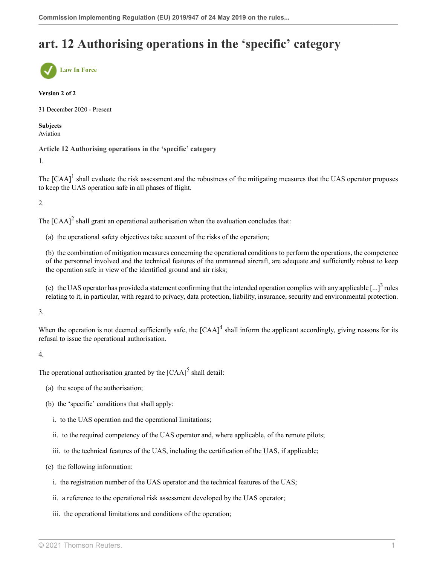# **art. 12 Authorising operations in the 'specific' category**



#### **Version 2 of 2**

31 December 2020 - Present

**Subjects** Aviation

**Article 12 Authorising operations in the 'specific' category**

1.

<span id="page-23-0"></span>The  $[CAA]$ <sup>[1](#page-24-0)</sup> shall evaluate the risk assessment and the robustness of the mitigating measures that the UAS operator proposes to keep the UAS operation safe in all phases of flight.

2.

<span id="page-23-1"></span>The  $[CAA]^2$  $[CAA]^2$  shall grant an operational authorisation when the evaluation concludes that:

(a) the operational safety objectives take account of the risks of the operation;

(b) the combination of mitigation measures concerning the operational conditions to perform the operations, the competence of the personnel involved and the technical features of the unmanned aircraft, are adequate and sufficiently robust to keep the operation safe in view of the identified ground and air risks;

<span id="page-23-3"></span><span id="page-23-2"></span>(c) the UAS operator has provided a statement confirming that the intended operation complies with any applicable  $\left[...\right]^3$  $\left[...\right]^3$  rules relating to it, in particular, with regard to privacy, data protection, liability, insurance, security and environmental protection.

3.

When the operation is not deemed sufficiently safe, the  $[CAA]$ <sup>[4](#page-24-3)</sup> shall inform the applicant accordingly, giving reasons for its refusal to issue the operational authorisation.

4.

The operational authorisation granted by the  $[{\rm CAA}]^5$  $[{\rm CAA}]^5$  shall detail:

- <span id="page-23-4"></span>(a) the scope of the authorisation;
- (b) the 'specific' conditions that shall apply:
	- i. to the UAS operation and the operational limitations;
	- ii. to the required competency of the UAS operator and, where applicable, of the remote pilots;
	- iii. to the technical features of the UAS, including the certification of the UAS, if applicable;
- (c) the following information:
	- i. the registration number of the UAS operator and the technical features of the UAS;
	- ii. a reference to the operational risk assessment developed by the UAS operator;
	- iii. the operational limitations and conditions of the operation;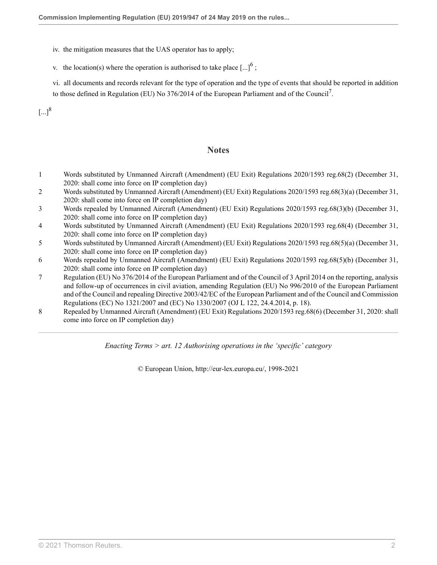iv. the mitigation measures that the UAS operator has to apply;

v. the location(s) where the operation is authorised to take place  $\left[...\right]^6$  $\left[...\right]^6$ ;

vi. all documents and records relevant for the type of operation and the type of events that should be reported in addition to those defined in Regulation (EU) No 3[7](#page-24-6)6/2014 of the European Parliament and of the Council<sup>7</sup>.

<span id="page-24-10"></span> $\left[...\right]^{8}$  $\left[...\right]^{8}$  $\left[...\right]^{8}$ 

### <span id="page-24-9"></span><span id="page-24-8"></span>**Notes**

- <span id="page-24-0"></span>[1](#page-23-0) Words substituted by Unmanned Aircraft (Amendment) (EU Exit) Regulations 2020/1593 [reg.68\(2\)](http://uk.westlaw.com/Document/IF7E3B48042D311EB9399B753ED3F9B92/View/FullText.html?originationContext=document&transitionType=DocumentItem&vr=3.0&rs=PLUK1.0&contextData=(sc.Search)) (December 31, 2020: shall come into force on IP completion day)
- <span id="page-24-1"></span>[2](#page-23-1) Words substituted by Unmanned Aircraft (Amendment) (EU Exit) Regulations 2020/1593 [reg.68\(3\)\(a\)](http://uk.westlaw.com/Document/IF7E3B48042D311EB9399B753ED3F9B92/View/FullText.html?originationContext=document&transitionType=DocumentItem&vr=3.0&rs=PLUK1.0&contextData=(sc.Search)) (December 31, 2020: shall come into force on IP completion day)
- <span id="page-24-2"></span>[3](#page-23-2) Words repealed by Unmanned Aircraft (Amendment) (EU Exit) Regulations 2020/1593 [reg.68\(3\)\(b\)](http://uk.westlaw.com/Document/IF7E3B48042D311EB9399B753ED3F9B92/View/FullText.html?originationContext=document&transitionType=DocumentItem&vr=3.0&rs=PLUK1.0&contextData=(sc.Search)) (December 31, 2020: shall come into force on IP completion day)
- <span id="page-24-3"></span>[4](#page-23-3) Words substituted by Unmanned Aircraft (Amendment) (EU Exit) Regulations 2020/1593 [reg.68\(4\)](http://uk.westlaw.com/Document/IF7E3B48042D311EB9399B753ED3F9B92/View/FullText.html?originationContext=document&transitionType=DocumentItem&vr=3.0&rs=PLUK1.0&contextData=(sc.Search)) (December 31, 2020: shall come into force on IP completion day)
- <span id="page-24-4"></span>[5](#page-23-4) Words substituted by Unmanned Aircraft (Amendment) (EU Exit) Regulations 2020/1593 [reg.68\(5\)\(a\)](http://uk.westlaw.com/Document/IF7E3B48042D311EB9399B753ED3F9B92/View/FullText.html?originationContext=document&transitionType=DocumentItem&vr=3.0&rs=PLUK1.0&contextData=(sc.Search)) (December 31, 2020: shall come into force on IP completion day)
- <span id="page-24-5"></span>[6](#page-24-8) Words repealed by Unmanned Aircraft (Amendment) (EU Exit) Regulations 2020/1593 [reg.68\(5\)\(b\)](http://uk.westlaw.com/Document/IF7E3B48042D311EB9399B753ED3F9B92/View/FullText.html?originationContext=document&transitionType=DocumentItem&vr=3.0&rs=PLUK1.0&contextData=(sc.Search)) (December 31, 2020: shall come into force on IP completion day)
- <span id="page-24-6"></span>[7](#page-24-9) Regulation (EU) No 376/2014 of the European Parliament and of the Council of 3 April 2014 on the reporting, analysis and follow-up of occurrences in civil aviation, amending Regulation (EU) No 996/2010 of the European Parliament and of the Council and repealing Directive 2003/42/EC of the European Parliament and of the Council and Commission Regulations (EC) No 1321/2007 and (EC) No 1330/2007 (OJ L 122, 24.4.2014, p. 18).
- <span id="page-24-7"></span>[8](#page-24-10) Repealed by Unmanned Aircraft (Amendment) (EU Exit) Regulations 2020/1593 [reg.68\(6\)](http://uk.westlaw.com/Document/IF7E3B48042D311EB9399B753ED3F9B92/View/FullText.html?originationContext=document&transitionType=DocumentItem&vr=3.0&rs=PLUK1.0&contextData=(sc.Search)) (December 31, 2020: shall come into force on IP completion day)

*Enacting Terms > art. 12 Authorising operations in the 'specific' category*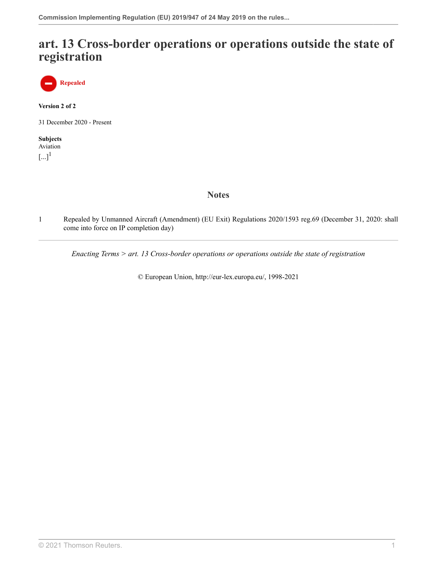## **art. 13 Cross-border operations or operations outside the state of registration**

**Repealed**

**Version 2 of 2**

31 December 2020 - Present

<span id="page-25-1"></span>**Subjects** Aviation  $\left[...\right]^{1}$  $\left[...\right]^{1}$  $\left[...\right]^{1}$ 

## **Notes**

<span id="page-25-0"></span>[1](#page-25-1) Repealed by Unmanned Aircraft (Amendment) (EU Exit) Regulations 2020/1593 [reg.69](http://uk.westlaw.com/Document/IE12DC9F042CF11EB9399B753ED3F9B92/View/FullText.html?originationContext=document&transitionType=DocumentItem&vr=3.0&rs=PLUK1.0&contextData=(sc.Search)) (December 31, 2020: shall come into force on IP completion day)

*Enacting Terms > art. 13 Cross-border operations or operations outside the state of registration*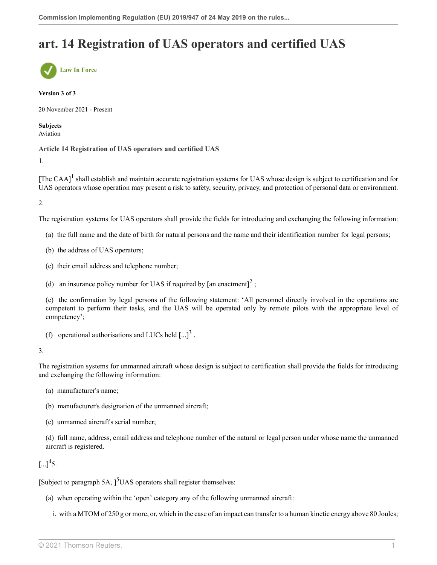# **art. 14 Registration of UAS operators and certified UAS**



#### **Version 3 of 3**

20 November 2021 - Present

**Subjects** Aviation

**Article 14 Registration of UAS operators and certified UAS**

1.

<span id="page-26-0"></span>[The CAA] $<sup>1</sup>$  $<sup>1</sup>$  $<sup>1</sup>$  shall establish and maintain accurate registration systems for UAS whose design is subject to certification and for</sup> UAS operators whose operation may present a risk to safety, security, privacy, and protection of personal data or environment.

2.

The registration systems for UAS operators shall provide the fields for introducing and exchanging the following information:

- (a) the full name and the date of birth for natural persons and the name and their identification number for legal persons;
- (b) the address of UAS operators;
- (c) their email address and telephone number;
- <span id="page-26-1"></span>(d) an insurance policy number for UAS if required by [an enactment]<sup>[2](#page-27-1)</sup>;

(e) the confirmation by legal persons of the following statement: 'All personnel directly involved in the operations are competent to perform their tasks, and the UAS will be operated only by remote pilots with the appropriate level of competency';

<span id="page-26-2"></span>(f) operational authorisations and LUCs held  $\left[...\right]^3$  $\left[...\right]^3$ .

#### 3.

The registration systems for unmanned aircraft whose design is subject to certification shall provide the fields for introducing and exchanging the following information:

- (a) manufacturer's name;
- (b) manufacturer's designation of the unmanned aircraft;
- (c) unmanned aircraft's serial number;

(d) full name, address, email address and telephone number of the natural or legal person under whose name the unmanned aircraft is registered.

<span id="page-26-3"></span> $\left[...\right]^{4}5.$  $\left[...\right]^{4}5.$  $\left[...\right]^{4}5.$ 

[Subject to paragraph [5](#page-28-0)A,  $\int$ <sup>5</sup>UAS operators shall register themselves:

- <span id="page-26-4"></span>(a) when operating within the 'open' category any of the following unmanned aircraft:
	- i. with a MTOM of 250 g or more, or, which in the case of an impact can transfer to a human kinetic energy above 80 Joules;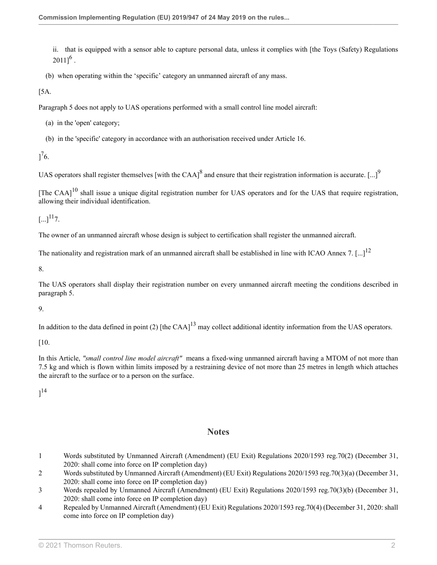<span id="page-27-4"></span>ii. that is equipped with a sensor able to capture personal data, unless it complies with [the Toys (Safety) Regulations  $2011]^{6}$  $2011]^{6}$  $2011]^{6}$ .

(b) when operating within the 'specific' category an unmanned aircraft of any mass.

[5A.

Paragraph 5 does not apply to UAS operations performed with a small control line model aircraft:

(a) in the 'open' category;

<span id="page-27-6"></span>(b) in the 'specific' category in accordance with an authorisation received under [Article 16](http://uk.westlaw.com/Document/I0603BB700F6A11EBA80DA04397049A1D/View/FullText.html?originationContext=document&transitionType=DocumentItem&vr=3.0&rs=PLUK1.0&contextData=(sc.Search)).

<span id="page-27-5"></span> $]^{7}6.$  $]^{7}6.$  $]^{7}6.$ 

UAS operators shall register themselves [with the CAA]<sup>[8](#page-28-3)</sup> and ensure that their registration information is accurate. [...]<sup>[9](#page-28-4)</sup>

<span id="page-27-8"></span>[The CAA] $^{10}$  $^{10}$  $^{10}$  shall issue a unique digital registration number for UAS operators and for the UAS that require registration, allowing their individual identification.

<span id="page-27-9"></span> $\left[ \ldots \right]^{11}$  $\left[ \ldots \right]^{11}$  $\left[ \ldots \right]^{11}$ 7.

The owner of an unmanned aircraft whose design is subject to certification shall register the unmanned aircraft.

The nationality and registration mark of an unmanned aircraft shall be established in line with ICAO Annex 7.  $\left[...\right]^{12}$  $\left[...\right]^{12}$  $\left[...\right]^{12}$ 

8.

The UAS operators shall display their registration number on every unmanned aircraft meeting the conditions described in paragraph 5.

#### 9.

In addition to the data defined in point (2) [the CAA] $^{13}$  $^{13}$  $^{13}$  may collect additional identity information from the UAS operators.

[10.

In this Article, *"small control line model aircraft"* means a fixed-wing unmanned aircraft having a MTOM of not more than 7.5 kg and which is flown within limits imposed by a restraining device of not more than 25 metres in length which attaches the aircraft to the surface or to a person on the surface.

<span id="page-27-12"></span> $]^{14}$  $]^{14}$  $]^{14}$ 

### <span id="page-27-11"></span><span id="page-27-10"></span><span id="page-27-7"></span>**Notes**

- <span id="page-27-0"></span>[1](#page-26-0) Words substituted by Unmanned Aircraft (Amendment) (EU Exit) Regulations 2020/1593 [reg.70\(2\)](http://uk.westlaw.com/Document/I8EDC4AB042CE11EB9399B753ED3F9B92/View/FullText.html?originationContext=document&transitionType=DocumentItem&vr=3.0&rs=PLUK1.0&contextData=(sc.Search)) (December 31, 2020: shall come into force on IP completion day)
- <span id="page-27-1"></span>[2](#page-26-1) Words substituted by Unmanned Aircraft (Amendment) (EU Exit) Regulations 2020/1593 [reg.70\(3\)\(a\)](http://uk.westlaw.com/Document/I8EDC4AB042CE11EB9399B753ED3F9B92/View/FullText.html?originationContext=document&transitionType=DocumentItem&vr=3.0&rs=PLUK1.0&contextData=(sc.Search)) (December 31, 2020: shall come into force on IP completion day)
- <span id="page-27-2"></span>[3](#page-26-2) Words repealed by Unmanned Aircraft (Amendment) (EU Exit) Regulations 2020/1593 [reg.70\(3\)\(b\)](http://uk.westlaw.com/Document/I8EDC4AB042CE11EB9399B753ED3F9B92/View/FullText.html?originationContext=document&transitionType=DocumentItem&vr=3.0&rs=PLUK1.0&contextData=(sc.Search)) (December 31, 2020: shall come into force on IP completion day)
- <span id="page-27-3"></span>[4](#page-26-3) Repealed by Unmanned Aircraft (Amendment) (EU Exit) Regulations 2020/1593 [reg.70\(4\)](http://uk.westlaw.com/Document/I8EDC4AB042CE11EB9399B753ED3F9B92/View/FullText.html?originationContext=document&transitionType=DocumentItem&vr=3.0&rs=PLUK1.0&contextData=(sc.Search)) (December 31, 2020: shall come into force on IP completion day)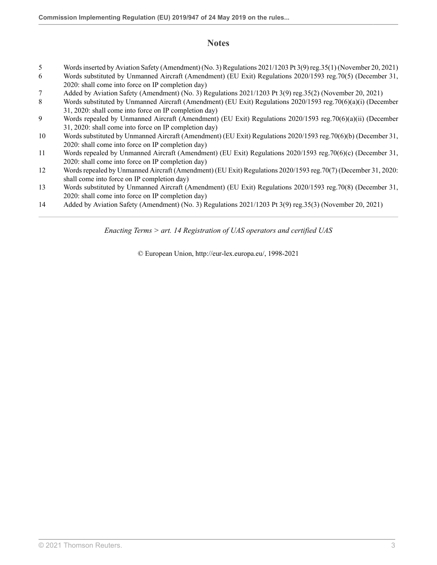## **Notes**

- <span id="page-28-0"></span>[5](#page-26-4) Words inserted by Aviation Safety (Amendment) (No. 3) Regulations 2021/1203 [Pt 3\(9\) reg.35\(1\)](http://uk.westlaw.com/Document/I4F44A8203A3511EC8C3F8DC6E4B22D01/View/FullText.html?originationContext=document&transitionType=DocumentItem&vr=3.0&rs=PLUK1.0&contextData=(sc.Search)) (November 20, 2021)
- <span id="page-28-1"></span>[6](#page-27-4) Words substituted by Unmanned Aircraft (Amendment) (EU Exit) Regulations 2020/1593 [reg.70\(5\)](http://uk.westlaw.com/Document/I8EDC4AB042CE11EB9399B753ED3F9B92/View/FullText.html?originationContext=document&transitionType=DocumentItem&vr=3.0&rs=PLUK1.0&contextData=(sc.Search)) (December 31, 2020: shall come into force on IP completion day)
- <span id="page-28-2"></span>[7](#page-27-5) Added by Aviation Safety (Amendment) (No. 3) Regulations 2021/1203 [Pt 3\(9\) reg.35\(2\)](http://uk.westlaw.com/Document/I4F44A8203A3511EC8C3F8DC6E4B22D01/View/FullText.html?originationContext=document&transitionType=DocumentItem&vr=3.0&rs=PLUK1.0&contextData=(sc.Search)) (November 20, 2021)
- <span id="page-28-3"></span>[8](#page-27-6) Words substituted by Unmanned Aircraft (Amendment) (EU Exit) Regulations 2020/1593 [reg.70\(6\)\(a\)\(i\)](http://uk.westlaw.com/Document/I8EDC4AB042CE11EB9399B753ED3F9B92/View/FullText.html?originationContext=document&transitionType=DocumentItem&vr=3.0&rs=PLUK1.0&contextData=(sc.Search)) (December 31, 2020: shall come into force on IP completion day)
- <span id="page-28-4"></span>[9](#page-27-7) Words repealed by Unmanned Aircraft (Amendment) (EU Exit) Regulations 2020/1593 [reg.70\(6\)\(a\)\(ii\)](http://uk.westlaw.com/Document/I8EDC4AB042CE11EB9399B753ED3F9B92/View/FullText.html?originationContext=document&transitionType=DocumentItem&vr=3.0&rs=PLUK1.0&contextData=(sc.Search)) (December 31, 2020: shall come into force on IP completion day)
- <span id="page-28-5"></span>[10](#page-27-8) Words substituted by Unmanned Aircraft (Amendment) (EU Exit) Regulations 2020/1593 [reg.70\(6\)\(b\)](http://uk.westlaw.com/Document/I8EDC4AB042CE11EB9399B753ED3F9B92/View/FullText.html?originationContext=document&transitionType=DocumentItem&vr=3.0&rs=PLUK1.0&contextData=(sc.Search)) (December 31, 2020: shall come into force on IP completion day)
- <span id="page-28-6"></span>[11](#page-27-9) Words repealed by Unmanned Aircraft (Amendment) (EU Exit) Regulations 2020/1593 [reg.70\(6\)\(c\)](http://uk.westlaw.com/Document/I8EDC4AB042CE11EB9399B753ED3F9B92/View/FullText.html?originationContext=document&transitionType=DocumentItem&vr=3.0&rs=PLUK1.0&contextData=(sc.Search)) (December 31, 2020: shall come into force on IP completion day)
- <span id="page-28-7"></span>[12](#page-27-10) Words repealed by Unmanned Aircraft (Amendment) (EU Exit) Regulations 2020/1593 [reg.70\(7\)](http://uk.westlaw.com/Document/I8EDC4AB042CE11EB9399B753ED3F9B92/View/FullText.html?originationContext=document&transitionType=DocumentItem&vr=3.0&rs=PLUK1.0&contextData=(sc.Search)) (December 31, 2020: shall come into force on IP completion day)
- <span id="page-28-8"></span>[13](#page-27-11) Words substituted by Unmanned Aircraft (Amendment) (EU Exit) Regulations 2020/1593 [reg.70\(8\)](http://uk.westlaw.com/Document/I8EDC4AB042CE11EB9399B753ED3F9B92/View/FullText.html?originationContext=document&transitionType=DocumentItem&vr=3.0&rs=PLUK1.0&contextData=(sc.Search)) (December 31, 2020: shall come into force on IP completion day)
- <span id="page-28-9"></span>[14](#page-27-12) Added by Aviation Safety (Amendment) (No. 3) Regulations 2021/1203 [Pt 3\(9\) reg.35\(3\)](http://uk.westlaw.com/Document/I4F44A8203A3511EC8C3F8DC6E4B22D01/View/FullText.html?originationContext=document&transitionType=DocumentItem&vr=3.0&rs=PLUK1.0&contextData=(sc.Search)) (November 20, 2021)

*Enacting Terms > art. 14 Registration of UAS operators and certified UAS*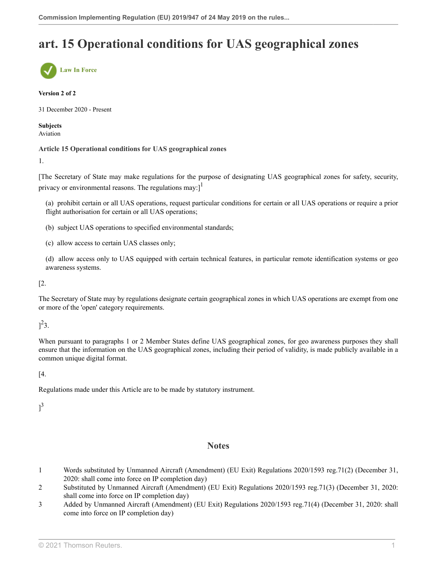# **art. 15 Operational conditions for UAS geographical zones**



#### **Version 2 of 2**

31 December 2020 - Present

**Subjects** Aviation

#### **Article 15 Operational conditions for UAS geographical zones**

1.

[The Secretary of State may make regulations for the purpose of designating UAS geographical zones for safety, security, privacy or environmental reasons. The regulations may: $]^{1}$  $]^{1}$  $]^{1}$ 

<span id="page-29-3"></span>(a) prohibit certain or all UAS operations, request particular conditions for certain or all UAS operations or require a prior flight authorisation for certain or all UAS operations;

- (b) subject UAS operations to specified environmental standards;
- (c) allow access to certain UAS classes only;

(d) allow access only to UAS equipped with certain technical features, in particular remote identification systems or geo awareness systems.

[2.

The Secretary of State may by regulations designate certain geographical zones in which UAS operations are exempt from one or more of the 'open' category requirements.

<span id="page-29-4"></span> $]^{2}3.$  $]^{2}3.$  $]^{2}3.$ 

When pursuant to paragraphs 1 or 2 Member States define UAS geographical zones, for geo awareness purposes they shall ensure that the information on the UAS geographical zones, including their period of validity, is made publicly available in a common unique digital format.

[4.

Regulations made under this Article are to be made by statutory instrument.

<span id="page-29-5"></span> $]^{3}$  $]^{3}$  $]^{3}$ 

#### **Notes**

- <span id="page-29-0"></span>[1](#page-29-3) Words substituted by Unmanned Aircraft (Amendment) (EU Exit) Regulations 2020/1593 [reg.71\(2\)](http://uk.westlaw.com/Document/I952BA41042D311EB9399B753ED3F9B92/View/FullText.html?originationContext=document&transitionType=DocumentItem&vr=3.0&rs=PLUK1.0&contextData=(sc.Search)) (December 31, 2020: shall come into force on IP completion day)
- <span id="page-29-1"></span>[2](#page-29-4) Substituted by Unmanned Aircraft (Amendment) (EU Exit) Regulations 2020/1593 [reg.71\(3\)](http://uk.westlaw.com/Document/I952BA41042D311EB9399B753ED3F9B92/View/FullText.html?originationContext=document&transitionType=DocumentItem&vr=3.0&rs=PLUK1.0&contextData=(sc.Search)) (December 31, 2020: shall come into force on IP completion day)
- <span id="page-29-2"></span>[3](#page-29-5) Added by Unmanned Aircraft (Amendment) (EU Exit) Regulations 2020/1593 [reg.71\(4\)](http://uk.westlaw.com/Document/I952BA41042D311EB9399B753ED3F9B92/View/FullText.html?originationContext=document&transitionType=DocumentItem&vr=3.0&rs=PLUK1.0&contextData=(sc.Search)) (December 31, 2020: shall come into force on IP completion day)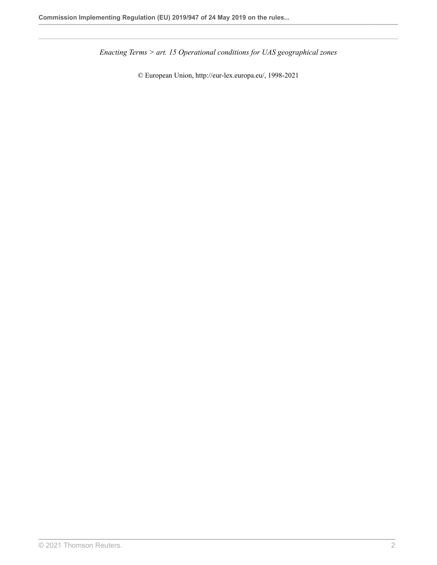*Enacting Terms > art. 15 Operational conditions for UAS geographical zones*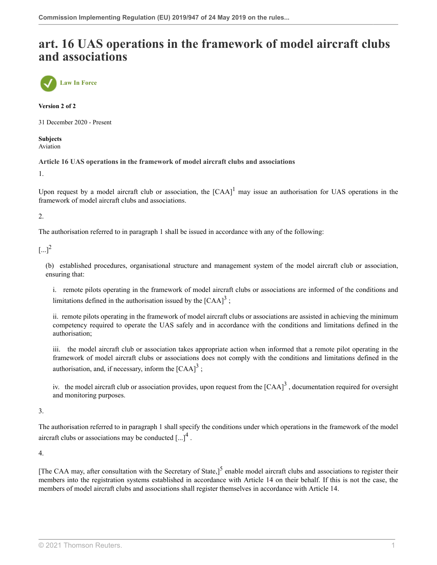## **art. 16 UAS operations in the framework of model aircraft clubs and associations**



**Version 2 of 2**

31 December 2020 - Present

**Subjects** Aviation

**Article 16 UAS operations in the framework of model aircraft clubs and associations**

1.

<span id="page-31-0"></span>Upon request by a model aircraft club or association, the  $[CAA]$ <sup>[1](#page-32-0)</sup> may issue an authorisation for UAS operations in the framework of model aircraft clubs and associations.

2.

The authorisation referred to in paragraph 1 shall be issued in accordance with any of the following:

<span id="page-31-1"></span> $[...]^2$  $[...]^2$ 

(b) established procedures, organisational structure and management system of the model aircraft club or association, ensuring that:

<span id="page-31-2"></span>i. remote pilots operating in the framework of model aircraft clubs or associations are informed of the conditions and limitations defined in the authorisation issued by the  $[{\rm CAA}]^3$  $[{\rm CAA}]^3$ ;

ii. remote pilots operating in the framework of model aircraft clubs or associations are assisted in achieving the minimum competency required to operate the UAS safely and in accordance with the conditions and limitations defined in the authorisation;

iii. the model aircraft club or association takes appropriate action when informed that a remote pilot operating in the framework of model aircraft clubs or associations does not comply with the conditions and limitations defined in the authorisation, and, if necessary, inform the  $[CAA]$ <sup>[3](#page-32-2)</sup>;

<span id="page-31-3"></span>iv. the model aircraft club or association provides, upon request from the  ${[CAA]}^3$  ${[CAA]}^3$ , documentation required for oversight and monitoring purposes.

3.

The authorisation referred to in paragraph 1 shall specify the conditions under which operations in the framework of the model aircraft clubs or associations may be conducted  $\left[...\right]^4$  $\left[...\right]^4$ .

4.

<span id="page-31-4"></span>[The CAA may, after consultation with the Secretary of State,]<sup>[5](#page-32-4)</sup> enable model aircraft clubs and associations to register their members into the registration systems established in accordance with Article 14 on their behalf. If this is not the case, the members of model aircraft clubs and associations shall register themselves in accordance with Article 14.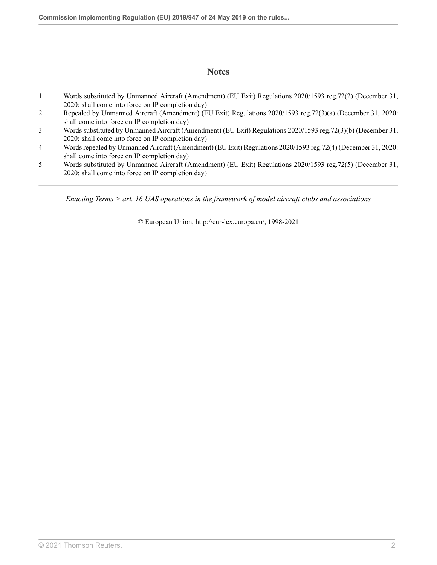## **Notes**

- <span id="page-32-0"></span>[1](#page-31-0) Words substituted by Unmanned Aircraft (Amendment) (EU Exit) Regulations 2020/1593 [reg.72\(2\)](http://uk.westlaw.com/Document/IBC6A71B042D211EB9399B753ED3F9B92/View/FullText.html?originationContext=document&transitionType=DocumentItem&vr=3.0&rs=PLUK1.0&contextData=(sc.Search)) (December 31, 2020: shall come into force on IP completion day)
- <span id="page-32-1"></span>[2](#page-31-1) Repealed by Unmanned Aircraft (Amendment) (EU Exit) Regulations 2020/1593 [reg.72\(3\)\(a\)](http://uk.westlaw.com/Document/IBC6A71B042D211EB9399B753ED3F9B92/View/FullText.html?originationContext=document&transitionType=DocumentItem&vr=3.0&rs=PLUK1.0&contextData=(sc.Search)) (December 31, 2020: shall come into force on IP completion day)
- <span id="page-32-2"></span>[3](#page-31-2) Words substituted by Unmanned Aircraft (Amendment) (EU Exit) Regulations 2020/1593 [reg.72\(3\)\(b\)](http://uk.westlaw.com/Document/IBC6A71B042D211EB9399B753ED3F9B92/View/FullText.html?originationContext=document&transitionType=DocumentItem&vr=3.0&rs=PLUK1.0&contextData=(sc.Search)) (December 31, 2020: shall come into force on IP completion day)
- <span id="page-32-3"></span>[4](#page-31-3) Words repealed by Unmanned Aircraft (Amendment) (EU Exit) Regulations 2020/1593 [reg.72\(4\)](http://uk.westlaw.com/Document/IBC6A71B042D211EB9399B753ED3F9B92/View/FullText.html?originationContext=document&transitionType=DocumentItem&vr=3.0&rs=PLUK1.0&contextData=(sc.Search)) (December 31, 2020: shall come into force on IP completion day)
- <span id="page-32-4"></span>[5](#page-31-4) Words substituted by Unmanned Aircraft (Amendment) (EU Exit) Regulations 2020/1593 [reg.72\(5\)](http://uk.westlaw.com/Document/IBC6A71B042D211EB9399B753ED3F9B92/View/FullText.html?originationContext=document&transitionType=DocumentItem&vr=3.0&rs=PLUK1.0&contextData=(sc.Search)) (December 31, 2020: shall come into force on IP completion day)

*Enacting Terms > art. 16 UAS operations in the framework of model aircraft clubs and associations*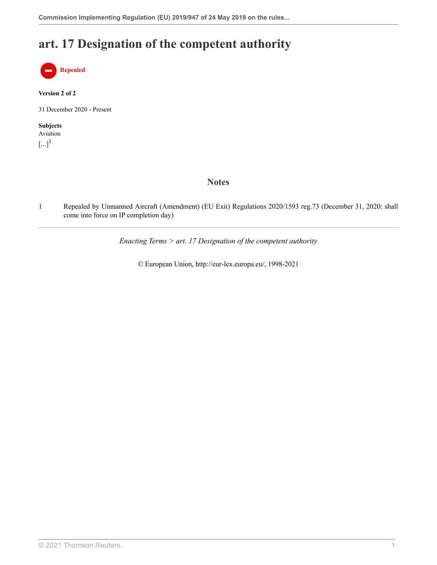# **art. 17 Designation of the competent authority**



#### **Version 2 of 2**

31 December 2020 - Present

#### <span id="page-33-1"></span>**Subjects** Aviation  $\left[...\right]^{1}$  $\left[...\right]^{1}$  $\left[...\right]^{1}$

**Notes**

<span id="page-33-0"></span>[1](#page-33-1) Repealed by Unmanned Aircraft (Amendment) (EU Exit) Regulations 2020/1593 [reg.73](http://uk.westlaw.com/Document/IBF1D5CB042D211EB9399B753ED3F9B92/View/FullText.html?originationContext=document&transitionType=DocumentItem&vr=3.0&rs=PLUK1.0&contextData=(sc.Search)) (December 31, 2020: shall come into force on IP completion day)

*Enacting Terms > art. 17 Designation of the competent authority*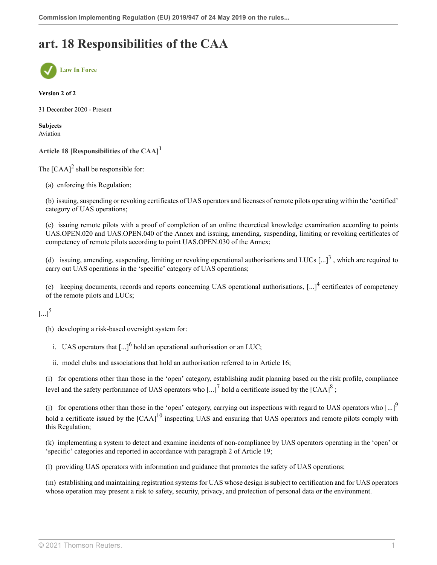# **art. 18 Responsibilities of the CAA**



#### **Version 2 of 2**

31 December 2020 - Present

**Subjects** Aviation

<span id="page-34-0"></span>**Article 18 [Responsibilities of the CAA] [1](#page-35-0)**

<span id="page-34-1"></span>The  $[CAA]^2$  $[CAA]^2$  shall be responsible for:

(a) enforcing this Regulation;

(b) issuing, suspending or revoking certificates of UAS operators and licenses of remote pilots operating within the 'certified' category of UAS operations;

(c) issuing remote pilots with a proof of completion of an online theoretical knowledge examination according to points UAS.OPEN.020 and UAS.OPEN.040 of the Annex and issuing, amending, suspending, limiting or revoking certificates of competency of remote pilots according to point UAS.OPEN.030 of the Annex;

<span id="page-34-2"></span>(d) issuing, amending, suspending, limiting or revoking operational authorisations and LUCs  $\left[...\right]^3$  $\left[...\right]^3$ , which are required to carry out UAS operations in the 'specific' category of UAS operations;

<span id="page-34-3"></span>(e) keeping documents, records and reports concerning UAS operational authorisations,  $\left[...\right]^4$  $\left[...\right]^4$  certificates of competency of the remote pilots and LUCs;

## <span id="page-34-4"></span> $[...]^5$  $[...]^5$

(h) developing a risk-based oversight system for:

<span id="page-34-5"></span>i. UAS operators that  $\left[...\right]^6$  $\left[...\right]^6$  hold an operational authorisation or an LUC;

<span id="page-34-8"></span><span id="page-34-7"></span><span id="page-34-6"></span>ii. model clubs and associations that hold an authorisation referred to in Article 16;

(i) for operations other than those in the 'open' category, establishing audit planning based on the risk profile, compliance level and the safety performance of UAS operators who [...]<sup>[7](#page-35-6)</sup> hold a certificate issued by the [CAA]<sup>[8](#page-35-7)</sup>;

<span id="page-34-9"></span>(j) for operations other than those in the 'open' category, carrying out inspections with regard to UAS operators who  $\left[...\right]^{9}$  $\left[...\right]^{9}$  $\left[...\right]^{9}$ hold a certificate issued by the  $[{\rm CAA}]^{10}$  $[{\rm CAA}]^{10}$  $[{\rm CAA}]^{10}$  inspecting UAS and ensuring that UAS operators and remote pilots comply with this Regulation;

(k) implementing a system to detect and examine incidents of non-compliance by UAS operators operating in the 'open' or 'specific' categories and reported in accordance with paragraph 2 of Article 19;

(l) providing UAS operators with information and guidance that promotes the safety of UAS operations;

(m) establishing and maintaining registration systems for UAS whose design is subject to certification and for UAS operators whose operation may present a risk to safety, security, privacy, and protection of personal data or the environment.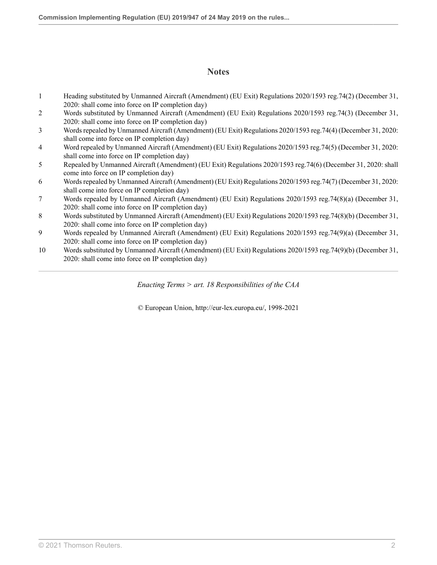## **Notes**

- <span id="page-35-0"></span>[1](#page-34-0) Heading substituted by Unmanned Aircraft (Amendment) (EU Exit) Regulations 2020/1593 [reg.74\(2\)](http://uk.westlaw.com/Document/IE9C673E042D011EB9399B753ED3F9B92/View/FullText.html?originationContext=document&transitionType=DocumentItem&vr=3.0&rs=PLUK1.0&contextData=(sc.Search)) (December 31, 2020: shall come into force on IP completion day)
- <span id="page-35-1"></span>[2](#page-34-1) Words substituted by Unmanned Aircraft (Amendment) (EU Exit) Regulations 2020/1593 [reg.74\(3\)](http://uk.westlaw.com/Document/IE9C673E042D011EB9399B753ED3F9B92/View/FullText.html?originationContext=document&transitionType=DocumentItem&vr=3.0&rs=PLUK1.0&contextData=(sc.Search)) (December 31, 2020: shall come into force on IP completion day)
- <span id="page-35-2"></span>[3](#page-34-2) Words repealed by Unmanned Aircraft (Amendment) (EU Exit) Regulations 2020/1593 [reg.74\(4\)](http://uk.westlaw.com/Document/IE9C673E042D011EB9399B753ED3F9B92/View/FullText.html?originationContext=document&transitionType=DocumentItem&vr=3.0&rs=PLUK1.0&contextData=(sc.Search)) (December 31, 2020: shall come into force on IP completion day)
- <span id="page-35-3"></span>[4](#page-34-3) Word repealed by Unmanned Aircraft (Amendment) (EU Exit) Regulations 2020/1593 [reg.74\(5\)](http://uk.westlaw.com/Document/IE9C673E042D011EB9399B753ED3F9B92/View/FullText.html?originationContext=document&transitionType=DocumentItem&vr=3.0&rs=PLUK1.0&contextData=(sc.Search)) (December 31, 2020: shall come into force on IP completion day)
- <span id="page-35-4"></span>[5](#page-34-4) Repealed by Unmanned Aircraft (Amendment) (EU Exit) Regulations 2020/1593 [reg.74\(6\)](http://uk.westlaw.com/Document/IE9C673E042D011EB9399B753ED3F9B92/View/FullText.html?originationContext=document&transitionType=DocumentItem&vr=3.0&rs=PLUK1.0&contextData=(sc.Search)) (December 31, 2020: shall come into force on IP completion day)
- <span id="page-35-5"></span>[6](#page-34-5) Words repealed by Unmanned Aircraft (Amendment) (EU Exit) Regulations 2020/1593 [reg.74\(7\)](http://uk.westlaw.com/Document/IE9C673E042D011EB9399B753ED3F9B92/View/FullText.html?originationContext=document&transitionType=DocumentItem&vr=3.0&rs=PLUK1.0&contextData=(sc.Search)) (December 31, 2020: shall come into force on IP completion day)
- <span id="page-35-6"></span>[7](#page-34-6) Words repealed by Unmanned Aircraft (Amendment) (EU Exit) Regulations 2020/1593 [reg.74\(8\)\(a\)](http://uk.westlaw.com/Document/IE9C673E042D011EB9399B753ED3F9B92/View/FullText.html?originationContext=document&transitionType=DocumentItem&vr=3.0&rs=PLUK1.0&contextData=(sc.Search)) (December 31, 2020: shall come into force on IP completion day)
- <span id="page-35-7"></span>[8](#page-34-7) Words substituted by Unmanned Aircraft (Amendment) (EU Exit) Regulations 2020/1593 [reg.74\(8\)\(b\)](http://uk.westlaw.com/Document/IE9C673E042D011EB9399B753ED3F9B92/View/FullText.html?originationContext=document&transitionType=DocumentItem&vr=3.0&rs=PLUK1.0&contextData=(sc.Search)) (December 31, 2020: shall come into force on IP completion day)
- <span id="page-35-8"></span>[9](#page-34-8) Words repealed by Unmanned Aircraft (Amendment) (EU Exit) Regulations 2020/1593 [reg.74\(9\)\(a\)](http://uk.westlaw.com/Document/IE9C673E042D011EB9399B753ED3F9B92/View/FullText.html?originationContext=document&transitionType=DocumentItem&vr=3.0&rs=PLUK1.0&contextData=(sc.Search)) (December 31, 2020: shall come into force on IP completion day)
- <span id="page-35-9"></span>[10](#page-34-9) Words substituted by Unmanned Aircraft (Amendment) (EU Exit) Regulations 2020/1593 [reg.74\(9\)\(b\)](http://uk.westlaw.com/Document/IE9C673E042D011EB9399B753ED3F9B92/View/FullText.html?originationContext=document&transitionType=DocumentItem&vr=3.0&rs=PLUK1.0&contextData=(sc.Search)) (December 31, 2020: shall come into force on IP completion day)

*Enacting Terms > art. 18 Responsibilities of the CAA*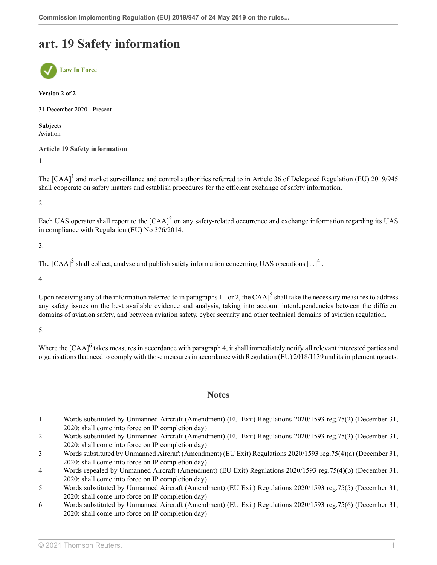## **art. 19 Safety information**



#### **Version 2 of 2**

31 December 2020 - Present

**Subjects** Aviation

#### **Article 19 Safety information**

1.

<span id="page-36-6"></span>The  $[{\rm CAA}]^1$  $[{\rm CAA}]^1$  and market surveillance and control authorities referred to in Article 36 of Delegated Regulation (EU) 2019/945 shall cooperate on safety matters and establish procedures for the efficient exchange of safety information.

2.

<span id="page-36-7"></span>Each UAS operator shall report to the  $[{\rm CAA}]^2$  $[{\rm CAA}]^2$  on any safety-related occurrence and exchange information regarding its UAS in compliance with Regulation (EU) No 376/2014.

3.

<span id="page-36-8"></span>The [CAA]<sup>[3](#page-36-2)</sup> shall collect, analyse and publish safety information concerning UAS operations [...]<sup>[4](#page-36-3)</sup>.

4.

Upon receiving any of the information referred to in paragraphs  $1$  [ or 2, the CAA]<sup>[5](#page-36-4)</sup> shall take the necessary measures to address any safety issues on the best available evidence and analysis, taking into account interdependencies between the different domains of aviation safety, and between aviation safety, cyber security and other technical domains of aviation regulation.

5.

<span id="page-36-11"></span>Where the [CAA]<sup>[6](#page-36-5)</sup> takes measures in accordance with paragraph 4, it shall immediately notify all relevant interested parties and organisations that need to comply with those measures in accordance with Regulation (EU) 2018/1139 and its implementing acts.

#### <span id="page-36-10"></span><span id="page-36-9"></span>**Notes**

- <span id="page-36-0"></span>[1](#page-36-6) Words substituted by Unmanned Aircraft (Amendment) (EU Exit) Regulations 2020/1593 [reg.75\(2\)](http://uk.westlaw.com/Document/I651FC0F042D111EB9399B753ED3F9B92/View/FullText.html?originationContext=document&transitionType=DocumentItem&vr=3.0&rs=PLUK1.0&contextData=(sc.Search)) (December 31, 2020: shall come into force on IP completion day)
- <span id="page-36-1"></span>[2](#page-36-7) Words substituted by Unmanned Aircraft (Amendment) (EU Exit) Regulations 2020/1593 [reg.75\(3\)](http://uk.westlaw.com/Document/I651FC0F042D111EB9399B753ED3F9B92/View/FullText.html?originationContext=document&transitionType=DocumentItem&vr=3.0&rs=PLUK1.0&contextData=(sc.Search)) (December 31, 2020: shall come into force on IP completion day)
- <span id="page-36-2"></span>[3](#page-36-8) Words substituted by Unmanned Aircraft (Amendment) (EU Exit) Regulations 2020/1593 [reg.75\(4\)\(a\)](http://uk.westlaw.com/Document/I651FC0F042D111EB9399B753ED3F9B92/View/FullText.html?originationContext=document&transitionType=DocumentItem&vr=3.0&rs=PLUK1.0&contextData=(sc.Search)) (December 31, 2020: shall come into force on IP completion day)
- <span id="page-36-3"></span>[4](#page-36-9) Words repealed by Unmanned Aircraft (Amendment) (EU Exit) Regulations 2020/1593 [reg.75\(4\)\(b\)](http://uk.westlaw.com/Document/I651FC0F042D111EB9399B753ED3F9B92/View/FullText.html?originationContext=document&transitionType=DocumentItem&vr=3.0&rs=PLUK1.0&contextData=(sc.Search)) (December 31, 2020: shall come into force on IP completion day)
- <span id="page-36-4"></span>[5](#page-36-10) Words substituted by Unmanned Aircraft (Amendment) (EU Exit) Regulations 2020/1593 [reg.75\(5\)](http://uk.westlaw.com/Document/I651FC0F042D111EB9399B753ED3F9B92/View/FullText.html?originationContext=document&transitionType=DocumentItem&vr=3.0&rs=PLUK1.0&contextData=(sc.Search)) (December 31, 2020: shall come into force on IP completion day)
- <span id="page-36-5"></span>[6](#page-36-11) Words substituted by Unmanned Aircraft (Amendment) (EU Exit) Regulations 2020/1593 [reg.75\(6\)](http://uk.westlaw.com/Document/I651FC0F042D111EB9399B753ED3F9B92/View/FullText.html?originationContext=document&transitionType=DocumentItem&vr=3.0&rs=PLUK1.0&contextData=(sc.Search)) (December 31, 2020: shall come into force on IP completion day)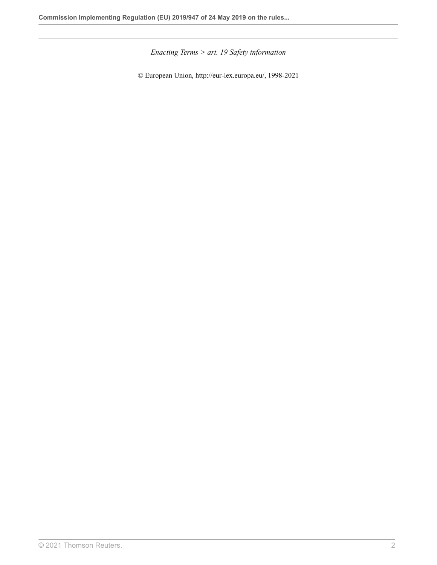*Enacting Terms > art. 19 Safety information*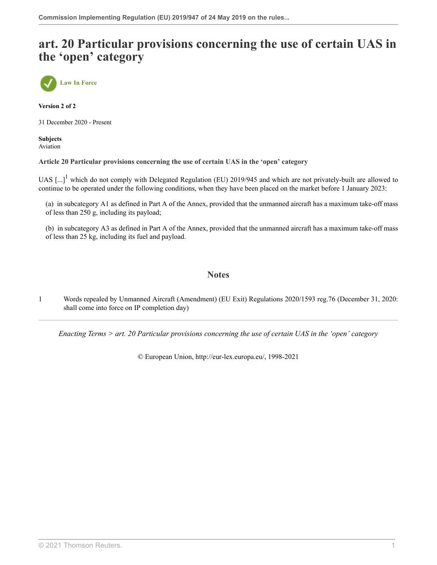## **art. 20 Particular provisions concerning the use of certain UAS in the 'open' category**



**Version 2 of 2**

31 December 2020 - Present

**Subjects** Aviation

**Article 20 Particular provisions concerning the use of certain UAS in the 'open' category**

<span id="page-38-1"></span>UAS  $\left[\ldots\right]^1$  $\left[\ldots\right]^1$  which do not comply with Delegated Regulation (EU) 2019/945 and which are not privately-built are allowed to continue to be operated under the following conditions, when they have been placed on the market before 1 January 2023:

(a) in subcategory A1 as defined in Part A of the Annex, provided that the unmanned aircraft has a maximum take-off mass of less than 250 g, including its payload;

(b) in subcategory A3 as defined in Part A of the Annex, provided that the unmanned aircraft has a maximum take-off mass of less than 25 kg, including its fuel and payload.

### **Notes**

<span id="page-38-0"></span>[1](#page-38-1) Words repealed by Unmanned Aircraft (Amendment) (EU Exit) Regulations 2020/1593 [reg.76](http://uk.westlaw.com/Document/I9E8773C042D011EB9399B753ED3F9B92/View/FullText.html?originationContext=document&transitionType=DocumentItem&vr=3.0&rs=PLUK1.0&contextData=(sc.Search)) (December 31, 2020: shall come into force on IP completion day)

*Enacting Terms > art. 20 Particular provisions concerning the use of certain UAS in the 'open' category*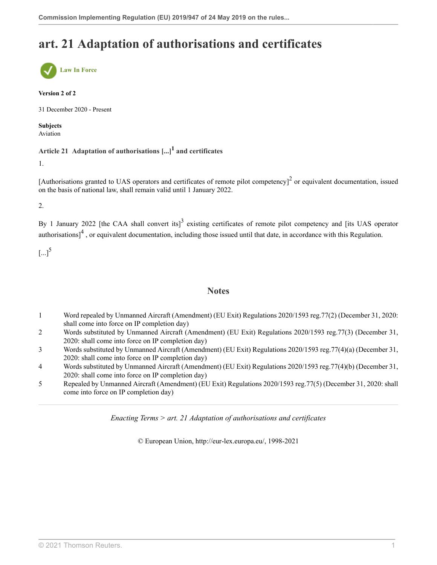# **art. 21 Adaptation of authorisations and certificates**



#### **Version 2 of 2**

31 December 2020 - Present

**Subjects** Aviation

### <span id="page-39-5"></span>**Article 21 Adaptation of authorisations [...][1](#page-39-0) and certificates**

1.

[Authorisations granted to UAS operators and certificates of remote pilot competency]<sup>[2](#page-39-1)</sup> or equivalent documentation, issued on the basis of national law, shall remain valid until 1 January 2022.

2.

<span id="page-39-8"></span>By 1 January 2022 [the CAA shall convert its]<sup>[3](#page-39-2)</sup> existing certificates of remote pilot competency and [its UAS operator authorisations] $<sup>4</sup>$  $<sup>4</sup>$  $<sup>4</sup>$ , or equivalent documentation, including those issued until that date, in accordance with this Regulation.</sup>

<span id="page-39-9"></span> $\left[...\right]^{5}$  $\left[...\right]^{5}$  $\left[...\right]^{5}$ 

#### <span id="page-39-7"></span><span id="page-39-6"></span>**Notes**

- <span id="page-39-0"></span>[1](#page-39-5) Word repealed by Unmanned Aircraft (Amendment) (EU Exit) Regulations 2020/1593 [reg.77\(2\)](http://uk.westlaw.com/Document/I14F47D1042D011EB9399B753ED3F9B92/View/FullText.html?originationContext=document&transitionType=DocumentItem&vr=3.0&rs=PLUK1.0&contextData=(sc.Search)) (December 31, 2020: shall come into force on IP completion day)
- <span id="page-39-1"></span>[2](#page-39-6) Words substituted by Unmanned Aircraft (Amendment) (EU Exit) Regulations 2020/1593 [reg.77\(3\)](http://uk.westlaw.com/Document/I14F47D1042D011EB9399B753ED3F9B92/View/FullText.html?originationContext=document&transitionType=DocumentItem&vr=3.0&rs=PLUK1.0&contextData=(sc.Search)) (December 31, 2020: shall come into force on IP completion day)
- <span id="page-39-2"></span>[3](#page-39-7) Words substituted by Unmanned Aircraft (Amendment) (EU Exit) Regulations 2020/1593 [reg.77\(4\)\(a\)](http://uk.westlaw.com/Document/I14F47D1042D011EB9399B753ED3F9B92/View/FullText.html?originationContext=document&transitionType=DocumentItem&vr=3.0&rs=PLUK1.0&contextData=(sc.Search)) (December 31, 2020: shall come into force on IP completion day)
- <span id="page-39-3"></span>[4](#page-39-8) Words substituted by Unmanned Aircraft (Amendment) (EU Exit) Regulations 2020/1593 [reg.77\(4\)\(b\)](http://uk.westlaw.com/Document/I14F47D1042D011EB9399B753ED3F9B92/View/FullText.html?originationContext=document&transitionType=DocumentItem&vr=3.0&rs=PLUK1.0&contextData=(sc.Search)) (December 31, 2020: shall come into force on IP completion day)
- <span id="page-39-4"></span>[5](#page-39-9) Repealed by Unmanned Aircraft (Amendment) (EU Exit) Regulations 2020/1593 [reg.77\(5\)](http://uk.westlaw.com/Document/I14F47D1042D011EB9399B753ED3F9B92/View/FullText.html?originationContext=document&transitionType=DocumentItem&vr=3.0&rs=PLUK1.0&contextData=(sc.Search)) (December 31, 2020: shall come into force on IP completion day)

*Enacting Terms > art. 21 Adaptation of authorisations and certificates*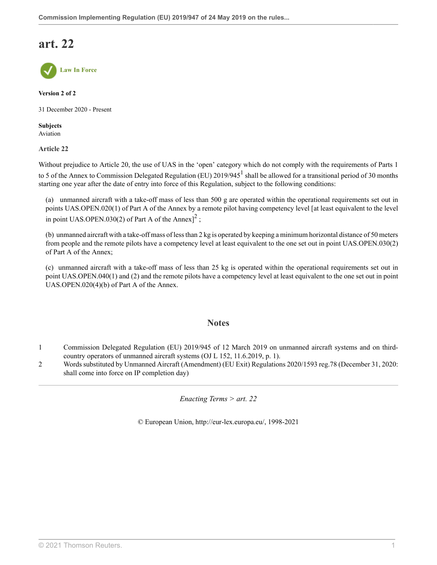## **art. 22**



**Version 2 of 2**

31 December 2020 - Present

**Subjects** Aviation

**Article 22**

Without prejudice to Article 20, the use of UAS in the 'open' category which do not comply with the requirements of Parts 1 to 5 of the Annex to Commission Delegated Regulation (EU)  $2019/945^1$  $2019/945^1$  $2019/945^1$  shall be allowed for a transitional period of 30 months starting one year after the date of entry into force of this Regulation, subject to the following conditions:

(a) unmanned aircraft with a take-off mass of less than 500 g are operated within the operational requirements set out in points UAS.OPEN.020(1) of Part A of the Annex by a remote pilot having competency level [at least equivalent to the level in point UAS.OPEN.030([2](#page-40-1)) of Part A of the Annex $]^{2}$ ;

(b) unmanned aircraft with a take-off mass of less than 2 kg is operated by keeping a minimum horizontal distance of 50 meters from people and the remote pilots have a competency level at least equivalent to the one set out in point UAS.OPEN.030(2) of Part A of the Annex;

(c) unmanned aircraft with a take-off mass of less than 25 kg is operated within the operational requirements set out in point UAS.OPEN.040(1) and (2) and the remote pilots have a competency level at least equivalent to the one set out in point UAS.OPEN.020(4)(b) of Part A of the Annex.

### <span id="page-40-3"></span><span id="page-40-2"></span>**Notes**

- <span id="page-40-0"></span>[1](#page-40-2) Commission Delegated Regulation (EU) 2019/945 of 12 March 2019 on unmanned aircraft systems and on thirdcountry operators of unmanned aircraft systems (OJ L 152, 11.6.2019, p. 1).
- <span id="page-40-1"></span>[2](#page-40-3) Words substituted by Unmanned Aircraft (Amendment) (EU Exit) Regulations 2020/1593 [reg.78](http://uk.westlaw.com/Document/I78C884D042D011EB9399B753ED3F9B92/View/FullText.html?originationContext=document&transitionType=DocumentItem&vr=3.0&rs=PLUK1.0&contextData=(sc.Search)) (December 31, 2020: shall come into force on IP completion day)

*Enacting Terms > art. 22*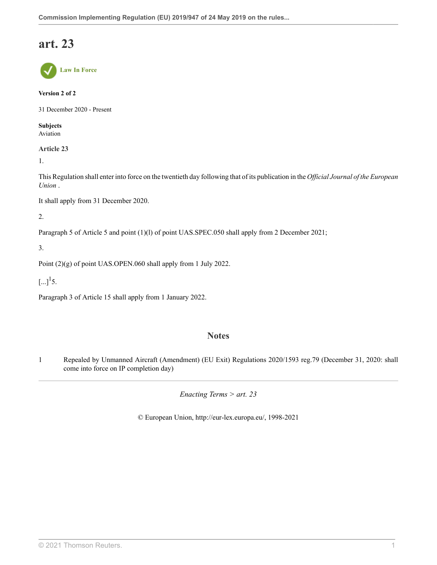## **art. 23**



#### **Version 2 of 2**

31 December 2020 - Present

**Subjects** Aviation

**Article 23**

1.

This Regulation shall enter into force on the twentieth day following that of its publication in the *Official Journal of the European Union* .

It shall apply from 31 December 2020.

2.

Paragraph 5 of Article 5 and point (1)(l) of point UAS.SPEC.050 shall apply from 2 December 2021;

3.

Point (2)(g) of point UAS.OPEN.060 shall apply from 1 July 2022.

<span id="page-41-1"></span> $\left[...\right]^{1}$  $\left[...\right]^{1}$  $\left[...\right]^{1}$ 5.

Paragraph 3 of Article 15 shall apply from 1 January 2022.

### **Notes**

<span id="page-41-0"></span>[1](#page-41-1) Repealed by Unmanned Aircraft (Amendment) (EU Exit) Regulations 2020/1593 [reg.79](http://uk.westlaw.com/Document/I8305A51042D311EB9399B753ED3F9B92/View/FullText.html?originationContext=document&transitionType=DocumentItem&vr=3.0&rs=PLUK1.0&contextData=(sc.Search)) (December 31, 2020: shall come into force on IP completion day)

*Enacting Terms > art. 23*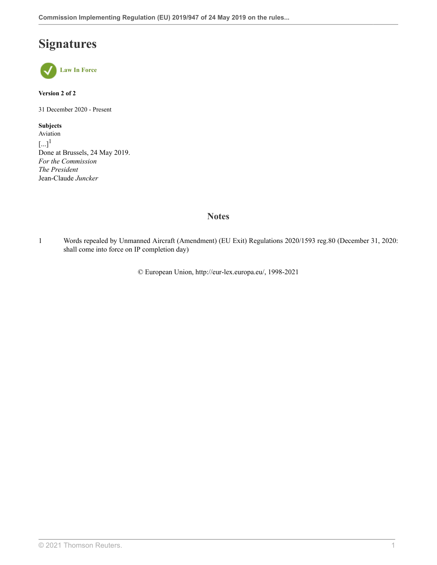## **Signatures**



#### **Version 2 of 2**

31 December 2020 - Present

<span id="page-42-1"></span>**Subjects** Aviation  $\left[...\right]^{1}$  $\left[...\right]^{1}$  $\left[...\right]^{1}$ Done at Brussels, 24 May 2019. *For the Commission The President* Jean-Claude *Juncker*

## **Notes**

<span id="page-42-0"></span>[1](#page-42-1) Words repealed by Unmanned Aircraft (Amendment) (EU Exit) Regulations 2020/1593 [reg.80](http://uk.westlaw.com/Document/I6A54A34042CE11EB9399B753ED3F9B92/View/FullText.html?originationContext=document&transitionType=DocumentItem&vr=3.0&rs=PLUK1.0&contextData=(sc.Search)) (December 31, 2020: shall come into force on IP completion day)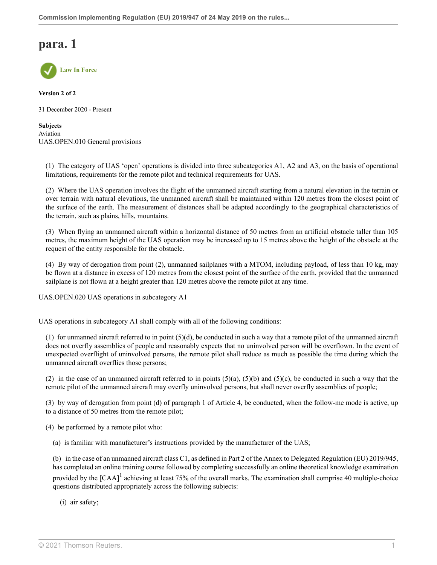

**Version 2 of 2**

31 December 2020 - Present

**Subjects** Aviation UAS.OPEN.010 General provisions

(1) The category of UAS 'open' operations is divided into three subcategories A1, A2 and A3, on the basis of operational limitations, requirements for the remote pilot and technical requirements for UAS.

(2) Where the UAS operation involves the flight of the unmanned aircraft starting from a natural elevation in the terrain or over terrain with natural elevations, the unmanned aircraft shall be maintained within 120 metres from the closest point of the surface of the earth. The measurement of distances shall be adapted accordingly to the geographical characteristics of the terrain, such as plains, hills, mountains.

(3) When flying an unmanned aircraft within a horizontal distance of 50 metres from an artificial obstacle taller than 105 metres, the maximum height of the UAS operation may be increased up to 15 metres above the height of the obstacle at the request of the entity responsible for the obstacle.

(4) By way of derogation from point (2), unmanned sailplanes with a MTOM, including payload, of less than 10 kg, may be flown at a distance in excess of 120 metres from the closest point of the surface of the earth, provided that the unmanned sailplane is not flown at a height greater than 120 metres above the remote pilot at any time.

UAS.OPEN.020 UAS operations in subcategory A1

UAS operations in subcategory A1 shall comply with all of the following conditions:

(1) for unmanned aircraft referred to in point  $(5)(d)$ , be conducted in such a way that a remote pilot of the unmanned aircraft does not overfly assemblies of people and reasonably expects that no uninvolved person will be overflown. In the event of unexpected overflight of uninvolved persons, the remote pilot shall reduce as much as possible the time during which the unmanned aircraft overflies those persons;

(2) in the case of an unmanned aircraft referred to in points  $(5)(a)$ ,  $(5)(b)$  and  $(5)(c)$ , be conducted in such a way that the remote pilot of the unmanned aircraft may overfly uninvolved persons, but shall never overfly assemblies of people;

(3) by way of derogation from point (d) of paragraph 1 of Article 4, be conducted, when the follow-me mode is active, up to a distance of 50 metres from the remote pilot;

(4) be performed by a remote pilot who:

(a) is familiar with manufacturer's instructions provided by the manufacturer of the UAS;

(b) in the case of an unmanned aircraft class C1, as defined in Part 2 of the Annex to Delegated Regulation (EU) 2019/945, has completed an online training course followed by completing successfully an online theoretical knowledge examination provided by the  $[CAA]^1$  $[CAA]^1$  achieving at least 75% of the overall marks. The examination shall comprise 40 multiple-choice questions distributed appropriately across the following subjects:

<span id="page-43-0"></span>(i) air safety;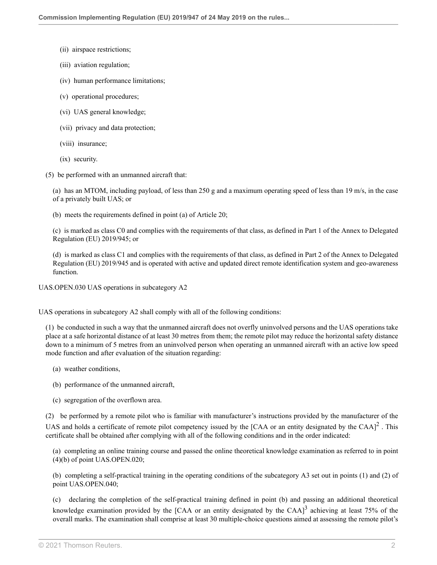- (ii) airspace restrictions;
- (iii) aviation regulation;
- (iv) human performance limitations;
- (v) operational procedures;
- (vi) UAS general knowledge;
- (vii) privacy and data protection;
- (viii) insurance;
- (ix) security.
- (5) be performed with an unmanned aircraft that:

(a) has an MTOM, including payload, of less than 250 g and a maximum operating speed of less than 19 m/s, in the case of a privately built UAS; or

(b) meets the requirements defined in point (a) of Article 20;

(c) is marked as class C0 and complies with the requirements of that class, as defined in Part 1 of the Annex to Delegated Regulation (EU) 2019/945; or

(d) is marked as class C1 and complies with the requirements of that class, as defined in Part 2 of the Annex to Delegated Regulation (EU) 2019/945 and is operated with active and updated direct remote identification system and geo-awareness function.

UAS.OPEN.030 UAS operations in subcategory A2

UAS operations in subcategory A2 shall comply with all of the following conditions:

(1) be conducted in such a way that the unmanned aircraft does not overfly uninvolved persons and the UAS operations take place at a safe horizontal distance of at least 30 metres from them; the remote pilot may reduce the horizontal safety distance down to a minimum of 5 metres from an uninvolved person when operating an unmanned aircraft with an active low speed mode function and after evaluation of the situation regarding:

- (a) weather conditions,
- (b) performance of the unmanned aircraft,
- <span id="page-44-0"></span>(c) segregation of the overflown area.

(2) be performed by a remote pilot who is familiar with manufacturer's instructions provided by the manufacturer of the UAS and holds a certificate of remote pilot competency issued by the [CAA or an entity designated by the CAA] $^2$  $^2$ . This certificate shall be obtained after complying with all of the following conditions and in the order indicated:

(a) completing an online training course and passed the online theoretical knowledge examination as referred to in point (4)(b) of point UAS.OPEN.020;

(b) completing a self-practical training in the operating conditions of the subcategory A3 set out in points (1) and (2) of point UAS.OPEN.040;

<span id="page-44-1"></span>(c) declaring the completion of the self-practical training defined in point (b) and passing an additional theoretical knowledge examination provided by the [CAA or an entity designated by the CAA] $^3$  $^3$  achieving at least 75% of the overall marks. The examination shall comprise at least 30 multiple-choice questions aimed at assessing the remote pilot's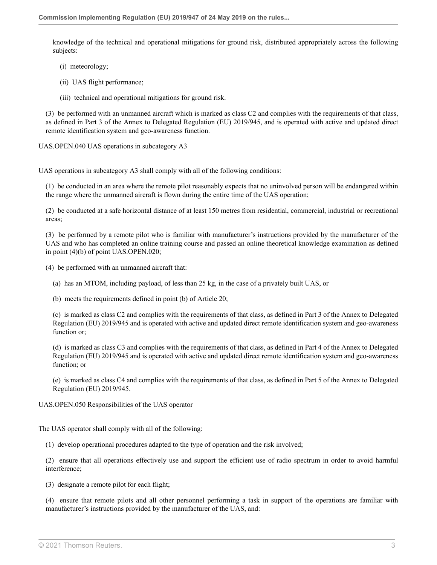knowledge of the technical and operational mitigations for ground risk, distributed appropriately across the following subjects:

- (i) meteorology;
- (ii) UAS flight performance;
- (iii) technical and operational mitigations for ground risk.

(3) be performed with an unmanned aircraft which is marked as class C2 and complies with the requirements of that class, as defined in Part 3 of the Annex to Delegated Regulation (EU) 2019/945, and is operated with active and updated direct remote identification system and geo-awareness function.

UAS.OPEN.040 UAS operations in subcategory A3

UAS operations in subcategory A3 shall comply with all of the following conditions:

(1) be conducted in an area where the remote pilot reasonably expects that no uninvolved person will be endangered within the range where the unmanned aircraft is flown during the entire time of the UAS operation;

(2) be conducted at a safe horizontal distance of at least 150 metres from residential, commercial, industrial or recreational areas;

(3) be performed by a remote pilot who is familiar with manufacturer's instructions provided by the manufacturer of the UAS and who has completed an online training course and passed an online theoretical knowledge examination as defined in point (4)(b) of point UAS.OPEN.020;

(4) be performed with an unmanned aircraft that:

(a) has an MTOM, including payload, of less than 25 kg, in the case of a privately built UAS, or

(b) meets the requirements defined in point (b) of Article 20;

(c) is marked as class C2 and complies with the requirements of that class, as defined in Part 3 of the Annex to Delegated Regulation (EU) 2019/945 and is operated with active and updated direct remote identification system and geo-awareness function or;

(d) is marked as class C3 and complies with the requirements of that class, as defined in Part 4 of the Annex to Delegated Regulation (EU) 2019/945 and is operated with active and updated direct remote identification system and geo-awareness function; or

(e) is marked as class C4 and complies with the requirements of that class, as defined in Part 5 of the Annex to Delegated Regulation (EU) 2019/945.

UAS.OPEN.050 Responsibilities of the UAS operator

The UAS operator shall comply with all of the following:

(1) develop operational procedures adapted to the type of operation and the risk involved;

(2) ensure that all operations effectively use and support the efficient use of radio spectrum in order to avoid harmful interference;

(3) designate a remote pilot for each flight;

(4) ensure that remote pilots and all other personnel performing a task in support of the operations are familiar with manufacturer's instructions provided by the manufacturer of the UAS, and: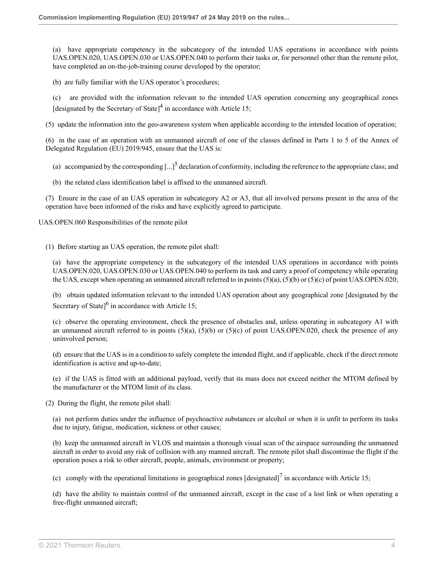(a) have appropriate competency in the subcategory of the intended UAS operations in accordance with points UAS.OPEN.020, UAS.OPEN.030 or UAS.OPEN.040 to perform their tasks or, for personnel other than the remote pilot, have completed an on-the-job-training course developed by the operator;

(b) are fully familiar with the UAS operator's procedures;

<span id="page-46-0"></span>(c) are provided with the information relevant to the intended UAS operation concerning any geographical zones [designated by the Secretary of State] $4$  in accordance with Article 15;

(5) update the information into the geo-awareness system when applicable according to the intended location of operation;

(6) in the case of an operation with an unmanned aircraft of one of the classes defined in Parts 1 to 5 of the Annex of Delegated Regulation (EU) 2019/945, ensure that the UAS is:

<span id="page-46-1"></span>(a) accompanied by the corresponding  $\left[...\right]^5$  $\left[...\right]^5$  declaration of conformity, including the reference to the appropriate class; and

(b) the related class identification label is affixed to the unmanned aircraft.

(7) Ensure in the case of an UAS operation in subcategory A2 or A3, that all involved persons present in the area of the operation have been informed of the risks and have explicitly agreed to participate.

UAS.OPEN.060 Responsibilities of the remote pilot

(1) Before starting an UAS operation, the remote pilot shall:

(a) have the appropriate competency in the subcategory of the intended UAS operations in accordance with points UAS.OPEN.020, UAS.OPEN.030 or UAS.OPEN.040 to perform its task and carry a proof of competency while operating the UAS, except when operating an unmanned aircraft referred to in points (5)(a), (5)(b) or (5)(c) of point UAS.OPEN.020;

<span id="page-46-2"></span>(b) obtain updated information relevant to the intended UAS operation about any geographical zone [designated by the Secretary of State] $<sup>6</sup>$  $<sup>6</sup>$  $<sup>6</sup>$  in accordance with Article 15;</sup>

(c) observe the operating environment, check the presence of obstacles and, unless operating in subcategory A1 with an unmanned aircraft referred to in points  $(5)(a)$ ,  $(5)(b)$  or  $(5)(c)$  of point UAS.OPEN.020, check the presence of any uninvolved person;

(d) ensure that the UAS is in a condition to safely complete the intended flight, and if applicable, check if the direct remote identification is active and up-to-date;

(e) if the UAS is fitted with an additional payload, verify that its mass does not exceed neither the MTOM defined by the manufacturer or the MTOM limit of its class.

(2) During the flight, the remote pilot shall:

(a) not perform duties under the influence of psychoactive substances or alcohol or when it is unfit to perform its tasks due to injury, fatigue, medication, sickness or other causes;

(b) keep the unmanned aircraft in VLOS and maintain a thorough visual scan of the airspace surrounding the unmanned aircraft in order to avoid any risk of collision with any manned aircraft. The remote pilot shall discontinue the flight if the operation poses a risk to other aircraft, people, animals, environment or property;

<span id="page-46-3"></span>(c) comply with the operational limitations in geographical zones  $\left[\frac{\text{designated}}{\text{image}}\right]^7$  $\left[\frac{\text{designated}}{\text{image}}\right]^7$  in accordance with Article 15;

(d) have the ability to maintain control of the unmanned aircraft, except in the case of a lost link or when operating a free-flight unmanned aircraft;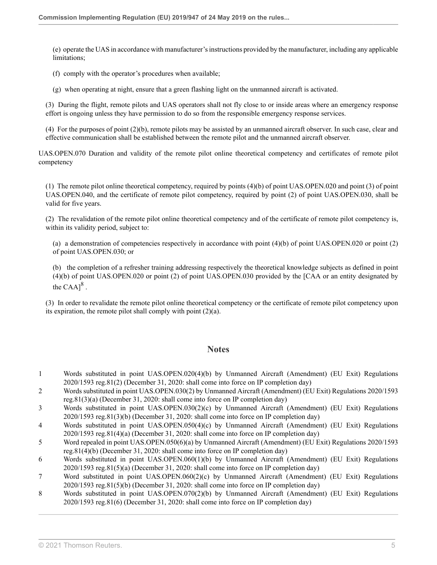(e) operate the UAS in accordance with manufacturer's instructions provided by the manufacturer, including any applicable limitations;

(f) comply with the operator's procedures when available;

(g) when operating at night, ensure that a green flashing light on the unmanned aircraft is activated.

(3) During the flight, remote pilots and UAS operators shall not fly close to or inside areas where an emergency response effort is ongoing unless they have permission to do so from the responsible emergency response services.

(4) For the purposes of point (2)(b), remote pilots may be assisted by an unmanned aircraft observer. In such case, clear and effective communication shall be established between the remote pilot and the unmanned aircraft observer.

UAS.OPEN.070 Duration and validity of the remote pilot online theoretical competency and certificates of remote pilot competency

(1) The remote pilot online theoretical competency, required by points (4)(b) of point UAS.OPEN.020 and point (3) of point UAS.OPEN.040, and the certificate of remote pilot competency, required by point (2) of point UAS.OPEN.030, shall be valid for five years.

(2) The revalidation of the remote pilot online theoretical competency and of the certificate of remote pilot competency is, within its validity period, subject to:

(a) a demonstration of competencies respectively in accordance with point (4)(b) of point UAS.OPEN.020 or point (2) of point UAS.OPEN.030; or

<span id="page-47-8"></span>(b) the completion of a refresher training addressing respectively the theoretical knowledge subjects as defined in point (4)(b) of point UAS.OPEN.020 or point (2) of point UAS.OPEN.030 provided by the [CAA or an entity designated by the  $\text{CAA}$ <sup>[8](#page-47-7)</sup>.

(3) In order to revalidate the remote pilot online theoretical competency or the certificate of remote pilot competency upon its expiration, the remote pilot shall comply with point (2)(a).

#### **Notes**

- <span id="page-47-0"></span>[1](#page-43-0) Words substituted in point UAS.OPEN.020(4)(b) by Unmanned Aircraft (Amendment) (EU Exit) Regulations 2020/1593 [reg.81\(2\)](http://uk.westlaw.com/Document/I96D1138042CF11EB9399B753ED3F9B92/View/FullText.html?originationContext=document&transitionType=DocumentItem&vr=3.0&rs=PLUK1.0&contextData=(sc.Search)) (December 31, 2020: shall come into force on IP completion day)
- <span id="page-47-1"></span>[2](#page-44-0) Words substituted in point UAS.OPEN.030(2) by Unmanned Aircraft (Amendment) (EU Exit) Regulations 2020/1593 [reg.81\(3\)\(a\)](http://uk.westlaw.com/Document/I96D1138042CF11EB9399B753ED3F9B92/View/FullText.html?originationContext=document&transitionType=DocumentItem&vr=3.0&rs=PLUK1.0&contextData=(sc.Search)) (December 31, 2020: shall come into force on IP completion day)
- <span id="page-47-2"></span>[3](#page-44-1) Words substituted in point UAS.OPEN.030(2)(c) by Unmanned Aircraft (Amendment) (EU Exit) Regulations 2020/1593 [reg.81\(3\)\(b\)](http://uk.westlaw.com/Document/I96D1138042CF11EB9399B753ED3F9B92/View/FullText.html?originationContext=document&transitionType=DocumentItem&vr=3.0&rs=PLUK1.0&contextData=(sc.Search)) (December 31, 2020: shall come into force on IP completion day)
- <span id="page-47-3"></span>[4](#page-46-0) Words substituted in point UAS.OPEN.050(4)(c) by Unmanned Aircraft (Amendment) (EU Exit) Regulations 2020/1593 [reg.81\(4\)\(a\)](http://uk.westlaw.com/Document/I96D1138042CF11EB9399B753ED3F9B92/View/FullText.html?originationContext=document&transitionType=DocumentItem&vr=3.0&rs=PLUK1.0&contextData=(sc.Search)) (December 31, 2020: shall come into force on IP completion day)
- <span id="page-47-4"></span>[5](#page-46-1) Word repealed in point UAS.OPEN.050(6)(a) by Unmanned Aircraft (Amendment) (EU Exit) Regulations 2020/1593 [reg.81\(4\)\(b\)](http://uk.westlaw.com/Document/I96D1138042CF11EB9399B753ED3F9B92/View/FullText.html?originationContext=document&transitionType=DocumentItem&vr=3.0&rs=PLUK1.0&contextData=(sc.Search)) (December 31, 2020: shall come into force on IP completion day)
- <span id="page-47-5"></span>[6](#page-46-2) Words substituted in point UAS.OPEN.060(1)(b) by Unmanned Aircraft (Amendment) (EU Exit) Regulations 2020/1593 [reg.81\(5\)\(a\)](http://uk.westlaw.com/Document/I96D1138042CF11EB9399B753ED3F9B92/View/FullText.html?originationContext=document&transitionType=DocumentItem&vr=3.0&rs=PLUK1.0&contextData=(sc.Search)) (December 31, 2020: shall come into force on IP completion day)
- <span id="page-47-6"></span>[7](#page-46-3) Word substituted in point UAS.OPEN.060(2)(c) by Unmanned Aircraft (Amendment) (EU Exit) Regulations 2020/1593 [reg.81\(5\)\(b\)](http://uk.westlaw.com/Document/I96D1138042CF11EB9399B753ED3F9B92/View/FullText.html?originationContext=document&transitionType=DocumentItem&vr=3.0&rs=PLUK1.0&contextData=(sc.Search)) (December 31, 2020: shall come into force on IP completion day)
- <span id="page-47-7"></span>[8](#page-47-8) Words substituted in point UAS.OPEN.070(2)(b) by Unmanned Aircraft (Amendment) (EU Exit) Regulations 2020/1593 [reg.81\(6\)](http://uk.westlaw.com/Document/I96D1138042CF11EB9399B753ED3F9B92/View/FullText.html?originationContext=document&transitionType=DocumentItem&vr=3.0&rs=PLUK1.0&contextData=(sc.Search)) (December 31, 2020: shall come into force on IP completion day)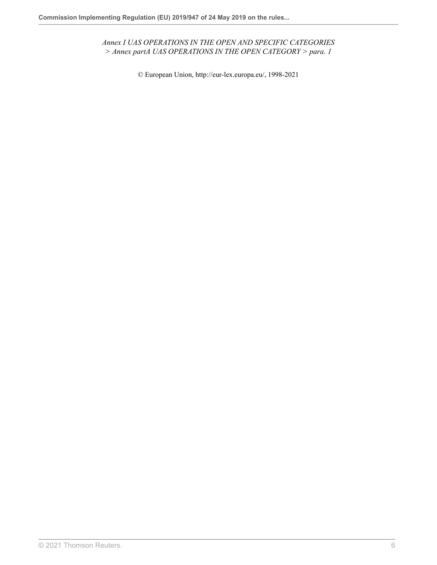*Annex I UAS OPERATIONS IN THE OPEN AND SPECIFIC CATEGORIES > Annex partA UAS OPERATIONS IN THE OPEN CATEGORY > para. 1*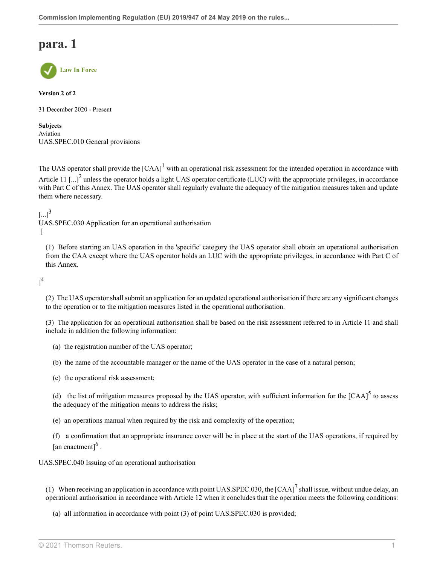

#### **Version 2 of 2**

31 December 2020 - Present

**Subjects** Aviation UAS.SPEC.010 General provisions

<span id="page-49-1"></span><span id="page-49-0"></span>The UAS operator shall provide the  $[CAA]$ <sup>[1](#page-53-0)</sup> with an operational risk assessment for the intended operation in accordance with Article 11  $\left[...\right]^2$  $\left[...\right]^2$  unless the operator holds a light UAS operator certificate (LUC) with the appropriate privileges, in accordance with Part C of this Annex. The UAS operator shall regularly evaluate the adequacy of the mitigation measures taken and update them where necessary.

<span id="page-49-2"></span> $[...]^3$  $[...]^3$ 

UAS.SPEC.030 Application for an operational authorisation  $\lceil$ 

(1) Before starting an UAS operation in the 'specific' category the UAS operator shall obtain an operational authorisation from the CAA except where the UAS operator holds an LUC with the appropriate privileges, in accordance with Part C of this Annex.

<span id="page-49-3"></span> $]^{4}$  $]^{4}$  $]^{4}$ 

(2) The UAS operator shall submit an application for an updated operational authorisation if there are any significant changes to the operation or to the mitigation measures listed in the operational authorisation.

(3) The application for an operational authorisation shall be based on the risk assessment referred to in Article 11 and shall include in addition the following information:

- (a) the registration number of the UAS operator;
- (b) the name of the accountable manager or the name of the UAS operator in the case of a natural person;
- (c) the operational risk assessment;

<span id="page-49-4"></span>(d) the list of mitigation measures proposed by the UAS operator, with sufficient information for the  $[CAA]$ <sup>[5](#page-53-4)</sup> to assess the adequacy of the mitigation means to address the risks;

(e) an operations manual when required by the risk and complexity of the operation;

<span id="page-49-5"></span>(f) a confirmation that an appropriate insurance cover will be in place at the start of the UAS operations, if required by [an enactment] $<sup>6</sup>$  $<sup>6</sup>$  $<sup>6</sup>$ .</sup>

UAS.SPEC.040 Issuing of an operational authorisation

(1) When receiving an application in accordance with point UAS.SPEC.030, the  $[CAA]<sup>7</sup>$  $[CAA]<sup>7</sup>$  $[CAA]<sup>7</sup>$  shall issue, without undue delay, an operational authorisation in accordance with Article 12 when it concludes that the operation meets the following conditions:

<span id="page-49-6"></span>(a) all information in accordance with point (3) of point UAS.SPEC.030 is provided;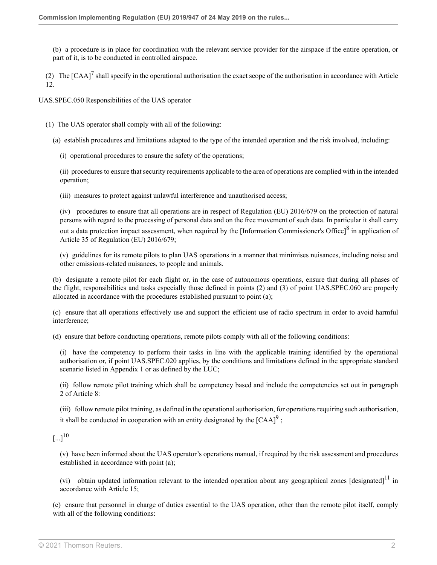(b) a procedure is in place for coordination with the relevant service provider for the airspace if the entire operation, or part of it, is to be conducted in controlled airspace.

(2) The  $[CAA]^7$  $[CAA]^7$  shall specify in the operational authorisation the exact scope of the authorisation in accordance with Article 12.

UAS.SPEC.050 Responsibilities of the UAS operator

(1) The UAS operator shall comply with all of the following:

(a) establish procedures and limitations adapted to the type of the intended operation and the risk involved, including:

(i) operational procedures to ensure the safety of the operations;

(ii) procedures to ensure that security requirements applicable to the area of operations are complied with in the intended operation;

(iii) measures to protect against unlawful interference and unauthorised access;

<span id="page-50-0"></span>(iv) procedures to ensure that all operations are in respect of Regulation (EU) 2016/679 on the protection of natural persons with regard to the processing of personal data and on the free movement of such data. In particular it shall carry out a data protection impact assessment, when required by the [Information Commissioner's Office]<sup>[8](#page-53-7)</sup> in application of Article 35 of Regulation (EU) 2016/679;

(v) guidelines for its remote pilots to plan UAS operations in a manner that minimises nuisances, including noise and other emissions-related nuisances, to people and animals.

(b) designate a remote pilot for each flight or, in the case of autonomous operations, ensure that during all phases of the flight, responsibilities and tasks especially those defined in points (2) and (3) of point UAS.SPEC.060 are properly allocated in accordance with the procedures established pursuant to point (a);

(c) ensure that all operations effectively use and support the efficient use of radio spectrum in order to avoid harmful interference;

(d) ensure that before conducting operations, remote pilots comply with all of the following conditions:

(i) have the competency to perform their tasks in line with the applicable training identified by the operational authorisation or, if point UAS.SPEC.020 applies, by the conditions and limitations defined in the appropriate standard scenario listed in Appendix 1 or as defined by the LUC;

(ii) follow remote pilot training which shall be competency based and include the competencies set out in paragraph 2 of Article 8:

<span id="page-50-1"></span>(iii) follow remote pilot training, as defined in the operational authorisation, for operations requiring such authorisation, it shall be conducted in cooperation with an entity designated by the  $[CAA]^9$  $[CAA]^9$ ;

<span id="page-50-2"></span> $\left[ ... \right]^{10}$  $\left[ ... \right]^{10}$  $\left[ ... \right]^{10}$ 

(v) have been informed about the UAS operator's operations manual, if required by the risk assessment and procedures established in accordance with point (a);

<span id="page-50-3"></span>(vi) obtain updated information relevant to the intended operation about any geographical zones [designated] $^{11}$  $^{11}$  $^{11}$  in accordance with Article 15;

(e) ensure that personnel in charge of duties essential to the UAS operation, other than the remote pilot itself, comply with all of the following conditions: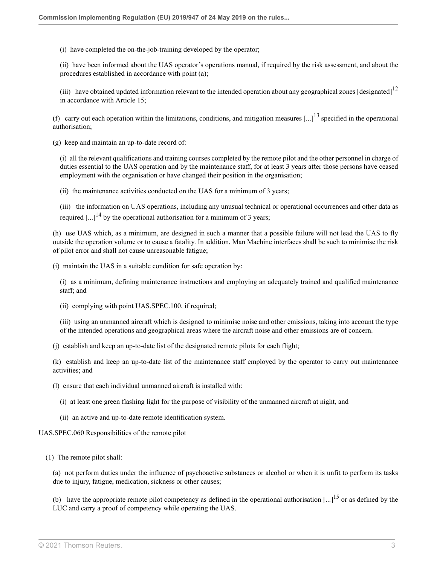(i) have completed the on-the-job-training developed by the operator;

(ii) have been informed about the UAS operator's operations manual, if required by the risk assessment, and about the procedures established in accordance with point (a);

<span id="page-51-1"></span><span id="page-51-0"></span>(iii) have obtained updated information relevant to the intended operation about any geographical zones [designated] $<sup>12</sup>$  $<sup>12</sup>$  $<sup>12</sup>$ </sup> in accordance with Article 15;

(f) carry out each operation within the limitations, conditions, and mitigation measures  $\lceil ... \rceil$ <sup>[13](#page-53-12)</sup> specified in the operational authorisation;

(g) keep and maintain an up-to-date record of:

(i) all the relevant qualifications and training courses completed by the remote pilot and the other personnel in charge of duties essential to the UAS operation and by the maintenance staff, for at least 3 years after those persons have ceased employment with the organisation or have changed their position in the organisation;

(ii) the maintenance activities conducted on the UAS for a minimum of 3 years;

<span id="page-51-2"></span>(iii) the information on UAS operations, including any unusual technical or operational occurrences and other data as required  $\left[\ldots\right]^{14}$  $\left[\ldots\right]^{14}$  $\left[\ldots\right]^{14}$  by the operational authorisation for a minimum of 3 years;

(h) use UAS which, as a minimum, are designed in such a manner that a possible failure will not lead the UAS to fly outside the operation volume or to cause a fatality. In addition, Man Machine interfaces shall be such to minimise the risk of pilot error and shall not cause unreasonable fatigue;

(i) maintain the UAS in a suitable condition for safe operation by:

(i) as a minimum, defining maintenance instructions and employing an adequately trained and qualified maintenance staff; and

(ii) complying with point UAS.SPEC.100, if required;

(iii) using an unmanned aircraft which is designed to minimise noise and other emissions, taking into account the type of the intended operations and geographical areas where the aircraft noise and other emissions are of concern.

(j) establish and keep an up-to-date list of the designated remote pilots for each flight;

(k) establish and keep an up-to-date list of the maintenance staff employed by the operator to carry out maintenance activities; and

(l) ensure that each individual unmanned aircraft is installed with:

(i) at least one green flashing light for the purpose of visibility of the unmanned aircraft at night, and

(ii) an active and up-to-date remote identification system.

UAS.SPEC.060 Responsibilities of the remote pilot

(1) The remote pilot shall:

(a) not perform duties under the influence of psychoactive substances or alcohol or when it is unfit to perform its tasks due to injury, fatigue, medication, sickness or other causes;

<span id="page-51-3"></span>(b) have the appropriate remote pilot competency as defined in the operational authorisation  $\left[...\right]^{15}$  $\left[...\right]^{15}$  $\left[...\right]^{15}$  or as defined by the LUC and carry a proof of competency while operating the UAS.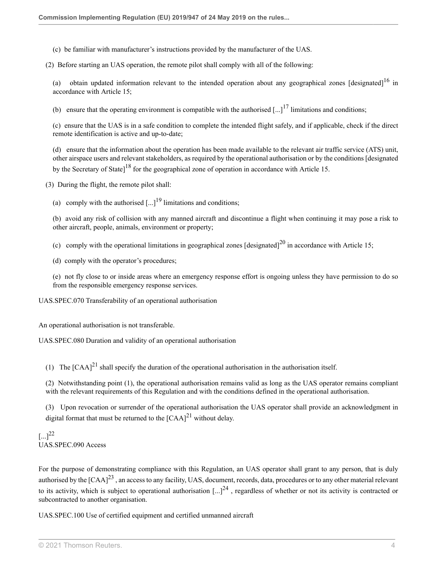(c) be familiar with manufacturer's instructions provided by the manufacturer of the UAS.

(2) Before starting an UAS operation, the remote pilot shall comply with all of the following:

<span id="page-52-0"></span>(a) obtain updated information relevant to the intended operation about any geographical zones [designated] $^{16}$  $^{16}$  $^{16}$  in accordance with Article 15;

<span id="page-52-1"></span>(b) ensure that the operating environment is compatible with the authorised  $\left[... \right]^{17}$  $\left[... \right]^{17}$  $\left[... \right]^{17}$  limitations and conditions:

(c) ensure that the UAS is in a safe condition to complete the intended flight safely, and if applicable, check if the direct remote identification is active and up-to-date;

<span id="page-52-2"></span>(d) ensure that the information about the operation has been made available to the relevant air traffic service (ATS) unit, other airspace users and relevant stakeholders, as required by the operational authorisation or by the conditions [designated by the Secretary of State]<sup>[18](#page-53-17)</sup> for the geographical zone of operation in accordance with Article 15.

(3) During the flight, the remote pilot shall:

<span id="page-52-3"></span>(a) comply with the authorised  $\left[ \ldots \right]^{19}$  $\left[ \ldots \right]^{19}$  $\left[ \ldots \right]^{19}$  limitations and conditions;

(b) avoid any risk of collision with any manned aircraft and discontinue a flight when continuing it may pose a risk to other aircraft, people, animals, environment or property;

<span id="page-52-4"></span>(c) comply with the operational limitations in geographical zones [designated]<sup>[20](#page-53-19)</sup> in accordance with Article 15;

(d) comply with the operator's procedures;

(e) not fly close to or inside areas where an emergency response effort is ongoing unless they have permission to do so from the responsible emergency response services.

UAS.SPEC.070 Transferability of an operational authorisation

An operational authorisation is not transferable.

UAS.SPEC.080 Duration and validity of an operational authorisation

<span id="page-52-5"></span>(1) The  $[CAA]^2$  shall specify the duration of the operational authorisation in the authorisation itself.

(2) Notwithstanding point (1), the operational authorisation remains valid as long as the UAS operator remains compliant with the relevant requirements of this Regulation and with the conditions defined in the operational authorisation.

(3) Upon revocation or surrender of the operational authorisation the UAS operator shall provide an acknowledgment in digital format that must be returned to the  $[{\rm CAA}]^{21}$  $[{\rm CAA}]^{21}$  $[{\rm CAA}]^{21}$  without delay.

<span id="page-52-6"></span> $\left[ ... \right]^{22}$  $\left[ ... \right]^{22}$  $\left[ ... \right]^{22}$ UAS.SPEC.090 Access

<span id="page-52-8"></span><span id="page-52-7"></span>For the purpose of demonstrating compliance with this Regulation, an UAS operator shall grant to any person, that is duly authorised by the  $[CAA]^{23}$  $[CAA]^{23}$  $[CAA]^{23}$ , an access to any facility, UAS, document, records, data, procedures or to any other material relevant to its activity, which is subject to operational authorisation  $\left[\ldots\right]^{24}$  $\left[\ldots\right]^{24}$  $\left[\ldots\right]^{24}$ , regardless of whether or not its activity is contracted or subcontracted to another organisation.

UAS.SPEC.100 Use of certified equipment and certified unmanned aircraft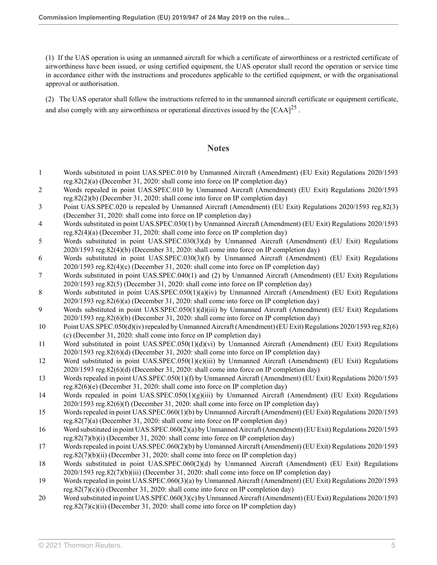(1) If the UAS operation is using an unmanned aircraft for which a certificate of airworthiness or a restricted certificate of airworthiness have been issued, or using certified equipment, the UAS operator shall record the operation or service time in accordance either with the instructions and procedures applicable to the certified equipment, or with the organisational approval or authorisation.

(2) The UAS operator shall follow the instructions referred to in the unmanned aircraft certificate or equipment certificate, and also comply with any airworthiness or operational directives issued by the  $[CAA]^{25}$  $[CAA]^{25}$  $[CAA]^{25}$ .

### <span id="page-53-20"></span>**Notes**

- <span id="page-53-0"></span>[1](#page-49-0) Words substituted in point UAS.SPEC.010 by Unmanned Aircraft (Amendment) (EU Exit) Regulations 2020/1593 [reg.82\(2\)\(a\)](http://uk.westlaw.com/Document/IABBF214042D111EB9399B753ED3F9B92/View/FullText.html?originationContext=document&transitionType=DocumentItem&vr=3.0&rs=PLUK1.0&contextData=(sc.Search)) (December 31, 2020: shall come into force on IP completion day)
- <span id="page-53-1"></span>[2](#page-49-1) Words repealed in point UAS.SPEC.010 by Unmanned Aircraft (Amendment) (EU Exit) Regulations 2020/1593 [reg.82\(2\)\(b\)](http://uk.westlaw.com/Document/IABBF214042D111EB9399B753ED3F9B92/View/FullText.html?originationContext=document&transitionType=DocumentItem&vr=3.0&rs=PLUK1.0&contextData=(sc.Search)) (December 31, 2020: shall come into force on IP completion day)
- <span id="page-53-2"></span>[3](#page-49-2) Point UAS.SPEC.020 is repealed by Unmanned Aircraft (Amendment) (EU Exit) Regulations 2020/1593 [reg.82\(3\)](http://uk.westlaw.com/Document/IABBF214042D111EB9399B753ED3F9B92/View/FullText.html?originationContext=document&transitionType=DocumentItem&vr=3.0&rs=PLUK1.0&contextData=(sc.Search)) (December 31, 2020: shall come into force on IP completion day)
- <span id="page-53-3"></span>[4](#page-49-3) Words substituted in point UAS.SPEC.030(1) by Unmanned Aircraft (Amendment) (EU Exit) Regulations 2020/1593 [reg.82\(4\)\(a\)](http://uk.westlaw.com/Document/IABBF214042D111EB9399B753ED3F9B92/View/FullText.html?originationContext=document&transitionType=DocumentItem&vr=3.0&rs=PLUK1.0&contextData=(sc.Search)) (December 31, 2020: shall come into force on IP completion day)
- <span id="page-53-4"></span>[5](#page-49-4) Words substituted in point UAS.SPEC.030(3)(d) by Unmanned Aircraft (Amendment) (EU Exit) Regulations 2020/1593 [reg.82\(4\)\(b\)](http://uk.westlaw.com/Document/IABBF214042D111EB9399B753ED3F9B92/View/FullText.html?originationContext=document&transitionType=DocumentItem&vr=3.0&rs=PLUK1.0&contextData=(sc.Search)) (December 31, 2020: shall come into force on IP completion day)
- <span id="page-53-5"></span>[6](#page-49-5) Words substituted in point UAS.SPEC.030(3)(f) by Unmanned Aircraft (Amendment) (EU Exit) Regulations 2020/1593 [reg.82\(4\)\(c\)](http://uk.westlaw.com/Document/IABBF214042D111EB9399B753ED3F9B92/View/FullText.html?originationContext=document&transitionType=DocumentItem&vr=3.0&rs=PLUK1.0&contextData=(sc.Search)) (December 31, 2020: shall come into force on IP completion day)
- <span id="page-53-6"></span>[7](#page-49-6) Words substituted in point UAS.SPEC.040(1) and (2) by Unmanned Aircraft (Amendment) (EU Exit) Regulations 2020/1593 [reg.82\(5\)](http://uk.westlaw.com/Document/IABBF214042D111EB9399B753ED3F9B92/View/FullText.html?originationContext=document&transitionType=DocumentItem&vr=3.0&rs=PLUK1.0&contextData=(sc.Search)) (December 31, 2020: shall come into force on IP completion day)
- <span id="page-53-7"></span>[8](#page-50-0) Words substituted in point UAS.SPEC.050(1)(a)(iv) by Unmanned Aircraft (Amendment) (EU Exit) Regulations 2020/1593 [reg.82\(6\)\(a\)](http://uk.westlaw.com/Document/IABBF214042D111EB9399B753ED3F9B92/View/FullText.html?originationContext=document&transitionType=DocumentItem&vr=3.0&rs=PLUK1.0&contextData=(sc.Search)) (December 31, 2020: shall come into force on IP completion day)
- <span id="page-53-8"></span>[9](#page-50-1) Words substituted in point UAS.SPEC.050(1)(d)(iii) by Unmanned Aircraft (Amendment) (EU Exit) Regulations 2020/1593 [reg.82\(6\)\(b\)](http://uk.westlaw.com/Document/IABBF214042D111EB9399B753ED3F9B92/View/FullText.html?originationContext=document&transitionType=DocumentItem&vr=3.0&rs=PLUK1.0&contextData=(sc.Search)) (December 31, 2020: shall come into force on IP completion day)
- <span id="page-53-9"></span>[10](#page-50-2) Point UAS.SPEC.050(d)(iv) repealed by Unmanned Aircraft (Amendment) (EU Exit) Regulations 2020/1593 [reg.82\(6\)](http://uk.westlaw.com/Document/IABBF214042D111EB9399B753ED3F9B92/View/FullText.html?originationContext=document&transitionType=DocumentItem&vr=3.0&rs=PLUK1.0&contextData=(sc.Search)) [\(c\)](http://uk.westlaw.com/Document/IABBF214042D111EB9399B753ED3F9B92/View/FullText.html?originationContext=document&transitionType=DocumentItem&vr=3.0&rs=PLUK1.0&contextData=(sc.Search)) (December 31, 2020: shall come into force on IP completion day)
- <span id="page-53-10"></span>[11](#page-50-3) Word substituted in point UAS.SPEC.050(1)(d)(vi) by Unmanned Aircraft (Amendment) (EU Exit) Regulations 2020/1593 [reg.82\(6\)\(d\)](http://uk.westlaw.com/Document/IABBF214042D111EB9399B753ED3F9B92/View/FullText.html?originationContext=document&transitionType=DocumentItem&vr=3.0&rs=PLUK1.0&contextData=(sc.Search)) (December 31, 2020: shall come into force on IP completion day)
- <span id="page-53-11"></span>[12](#page-51-0) Word substituted in point UAS.SPEC.050(1)(e)(iii) by Unmanned Aircraft (Amendment) (EU Exit) Regulations 2020/1593 [reg.82\(6\)\(d\)](http://uk.westlaw.com/Document/IABBF214042D111EB9399B753ED3F9B92/View/FullText.html?originationContext=document&transitionType=DocumentItem&vr=3.0&rs=PLUK1.0&contextData=(sc.Search)) (December 31, 2020: shall come into force on IP completion day)
- <span id="page-53-12"></span>[13](#page-51-1) Words repealed in point UAS.SPEC.050(1)(f) by Unmanned Aircraft (Amendment) (EU Exit) Regulations 2020/1593 [reg.82\(6\)\(e\)](http://uk.westlaw.com/Document/IABBF214042D111EB9399B753ED3F9B92/View/FullText.html?originationContext=document&transitionType=DocumentItem&vr=3.0&rs=PLUK1.0&contextData=(sc.Search)) (December 31, 2020: shall come into force on IP completion day)
- <span id="page-53-13"></span>[14](#page-51-2) Words repealed in point UAS.SPEC.050(1)(g)(iii) by Unmanned Aircraft (Amendment) (EU Exit) Regulations 2020/1593 [reg.82\(6\)\(f\)](http://uk.westlaw.com/Document/IABBF214042D111EB9399B753ED3F9B92/View/FullText.html?originationContext=document&transitionType=DocumentItem&vr=3.0&rs=PLUK1.0&contextData=(sc.Search)) (December 31, 2020: shall come into force on IP completion day)
- <span id="page-53-14"></span>[15](#page-51-3) Words repealed in point UAS.SPEC.060(1)(b) by Unmanned Aircraft (Amendment) (EU Exit) Regulations 2020/1593 [reg.82\(7\)\(a\)](http://uk.westlaw.com/Document/IABBF214042D111EB9399B753ED3F9B92/View/FullText.html?originationContext=document&transitionType=DocumentItem&vr=3.0&rs=PLUK1.0&contextData=(sc.Search)) (December 31, 2020: shall come into force on IP completion day)
- <span id="page-53-15"></span>[16](#page-52-0) Word substituted in point UAS.SPEC.060(2)(a) by Unmanned Aircraft (Amendment) (EU Exit) Regulations 2020/1593 [reg.82\(7\)\(b\)\(i\)](http://uk.westlaw.com/Document/IABBF214042D111EB9399B753ED3F9B92/View/FullText.html?originationContext=document&transitionType=DocumentItem&vr=3.0&rs=PLUK1.0&contextData=(sc.Search)) (December 31, 2020: shall come into force on IP completion day)
- <span id="page-53-16"></span>[17](#page-52-1) Words repealed in point UAS.SPEC.060(2)(b) by Unmanned Aircraft (Amendment) (EU Exit) Regulations 2020/1593 [reg.82\(7\)\(b\)\(ii\)](http://uk.westlaw.com/Document/IABBF214042D111EB9399B753ED3F9B92/View/FullText.html?originationContext=document&transitionType=DocumentItem&vr=3.0&rs=PLUK1.0&contextData=(sc.Search)) (December 31, 2020: shall come into force on IP completion day)
- <span id="page-53-17"></span>[18](#page-52-2) Words substituted in point UAS.SPEC.060(2)(d) by Unmanned Aircraft (Amendment) (EU Exit) Regulations 2020/1593 [reg.82\(7\)\(b\)\(iii\)](http://uk.westlaw.com/Document/IABBF214042D111EB9399B753ED3F9B92/View/FullText.html?originationContext=document&transitionType=DocumentItem&vr=3.0&rs=PLUK1.0&contextData=(sc.Search)) (December 31, 2020: shall come into force on IP completion day)
- <span id="page-53-18"></span>[19](#page-52-3) Words repealed in point UAS.SPEC.060(3)(a) by Unmanned Aircraft (Amendment) (EU Exit) Regulations 2020/1593 [reg.82\(7\)\(c\)\(i\)](http://uk.westlaw.com/Document/IABBF214042D111EB9399B753ED3F9B92/View/FullText.html?originationContext=document&transitionType=DocumentItem&vr=3.0&rs=PLUK1.0&contextData=(sc.Search)) (December 31, 2020: shall come into force on IP completion day)
- <span id="page-53-19"></span>[20](#page-52-4) Word substituted in point UAS.SPEC.060(3)(c) by Unmanned Aircraft (Amendment) (EU Exit) Regulations 2020/1593 [reg.82\(7\)\(c\)\(ii\)](http://uk.westlaw.com/Document/IABBF214042D111EB9399B753ED3F9B92/View/FullText.html?originationContext=document&transitionType=DocumentItem&vr=3.0&rs=PLUK1.0&contextData=(sc.Search)) (December 31, 2020: shall come into force on IP completion day)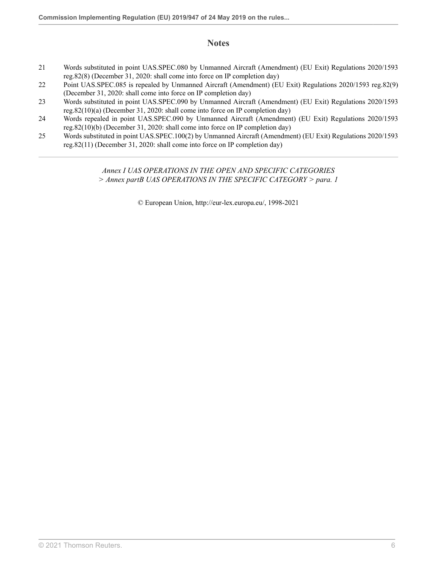## **Notes**

- <span id="page-54-0"></span>[21](#page-52-5) Words substituted in point UAS.SPEC.080 by Unmanned Aircraft (Amendment) (EU Exit) Regulations 2020/1593 [reg.82\(8\)](http://uk.westlaw.com/Document/IABBF214042D111EB9399B753ED3F9B92/View/FullText.html?originationContext=document&transitionType=DocumentItem&vr=3.0&rs=PLUK1.0&contextData=(sc.Search)) (December 31, 2020: shall come into force on IP completion day)
- <span id="page-54-1"></span>[22](#page-52-6) Point UAS.SPEC.085 is repealed by Unmanned Aircraft (Amendment) (EU Exit) Regulations 2020/1593 [reg.82\(9\)](http://uk.westlaw.com/Document/IABBF214042D111EB9399B753ED3F9B92/View/FullText.html?originationContext=document&transitionType=DocumentItem&vr=3.0&rs=PLUK1.0&contextData=(sc.Search)) (December 31, 2020: shall come into force on IP completion day)
- <span id="page-54-2"></span>[23](#page-52-7) Words substituted in point UAS.SPEC.090 by Unmanned Aircraft (Amendment) (EU Exit) Regulations 2020/1593 [reg.82\(10\)\(a\)](http://uk.westlaw.com/Document/IABBF214042D111EB9399B753ED3F9B92/View/FullText.html?originationContext=document&transitionType=DocumentItem&vr=3.0&rs=PLUK1.0&contextData=(sc.Search)) (December 31, 2020: shall come into force on IP completion day)
- <span id="page-54-3"></span>[24](#page-52-8) Words repealed in point UAS.SPEC.090 by Unmanned Aircraft (Amendment) (EU Exit) Regulations 2020/1593 [reg.82\(10\)\(b\)](http://uk.westlaw.com/Document/IABBF214042D111EB9399B753ED3F9B92/View/FullText.html?originationContext=document&transitionType=DocumentItem&vr=3.0&rs=PLUK1.0&contextData=(sc.Search)) (December 31, 2020: shall come into force on IP completion day)
- <span id="page-54-4"></span>[25](#page-53-20) Words substituted in point UAS.SPEC.100(2) by Unmanned Aircraft (Amendment) (EU Exit) Regulations 2020/1593 [reg.82\(11\)](http://uk.westlaw.com/Document/IABBF214042D111EB9399B753ED3F9B92/View/FullText.html?originationContext=document&transitionType=DocumentItem&vr=3.0&rs=PLUK1.0&contextData=(sc.Search)) (December 31, 2020: shall come into force on IP completion day)

*Annex I UAS OPERATIONS IN THE OPEN AND SPECIFIC CATEGORIES > Annex partB UAS OPERATIONS IN THE SPECIFIC CATEGORY > para. 1*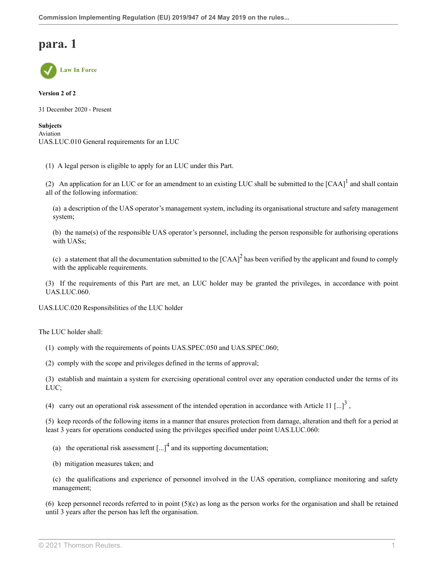

**Version 2 of 2**

31 December 2020 - Present

#### **Subjects** Aviation UAS.LUC.010 General requirements for an LUC

(1) A legal person is eligible to apply for an LUC under this Part.

(2) An application for an LUC or for an amendment to an existing LUC shall be submitted to the  $[CAA]$ <sup>[1](#page-58-0)</sup> and shall contain all of the following information:

<span id="page-55-0"></span>(a) a description of the UAS operator's management system, including its organisational structure and safety management system;

(b) the name(s) of the responsible UAS operator's personnel, including the person responsible for authorising operations with UASs;

<span id="page-55-1"></span>(c) a statement that all the documentation submitted to the  $[CAA]^2$  $[CAA]^2$  has been verified by the applicant and found to comply with the applicable requirements.

(3) If the requirements of this Part are met, an LUC holder may be granted the privileges, in accordance with point UAS.LUC.060.

UAS.LUC.020 Responsibilities of the LUC holder

The LUC holder shall:

- (1) comply with the requirements of points UAS.SPEC.050 and UAS.SPEC.060;
- (2) comply with the scope and privileges defined in the terms of approval;

(3) establish and maintain a system for exercising operational control over any operation conducted under the terms of its LUC;

(4) carry out an operational risk assessment of the intended operation in accordance with Article 11  $\left[...\right]^3$  $\left[...\right]^3$ ,

(5) keep records of the following items in a manner that ensures protection from damage, alteration and theft for a period at least 3 years for operations conducted using the privileges specified under point UAS.LUC.060:

- <span id="page-55-3"></span><span id="page-55-2"></span>(a) the operational risk assessment  $\left[...\right]^4$  $\left[...\right]^4$  and its supporting documentation;
- (b) mitigation measures taken; and

(c) the qualifications and experience of personnel involved in the UAS operation, compliance monitoring and safety management;

(6) keep personnel records referred to in point  $(5)(c)$  as long as the person works for the organisation and shall be retained until 3 years after the person has left the organisation.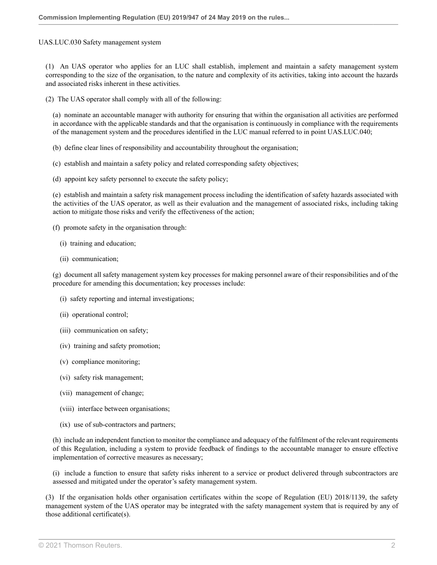#### UAS.LUC.030 Safety management system

(1) An UAS operator who applies for an LUC shall establish, implement and maintain a safety management system corresponding to the size of the organisation, to the nature and complexity of its activities, taking into account the hazards and associated risks inherent in these activities.

(2) The UAS operator shall comply with all of the following:

(a) nominate an accountable manager with authority for ensuring that within the organisation all activities are performed in accordance with the applicable standards and that the organisation is continuously in compliance with the requirements of the management system and the procedures identified in the LUC manual referred to in point UAS.LUC.040;

(b) define clear lines of responsibility and accountability throughout the organisation;

- (c) establish and maintain a safety policy and related corresponding safety objectives;
- (d) appoint key safety personnel to execute the safety policy;

(e) establish and maintain a safety risk management process including the identification of safety hazards associated with the activities of the UAS operator, as well as their evaluation and the management of associated risks, including taking action to mitigate those risks and verify the effectiveness of the action;

(f) promote safety in the organisation through:

- (i) training and education;
- (ii) communication;

(g) document all safety management system key processes for making personnel aware of their responsibilities and of the procedure for amending this documentation; key processes include:

- (i) safety reporting and internal investigations;
- (ii) operational control;
- (iii) communication on safety;
- (iv) training and safety promotion;
- (v) compliance monitoring;
- (vi) safety risk management;
- (vii) management of change;
- (viii) interface between organisations;
- (ix) use of sub-contractors and partners;

(h) include an independent function to monitor the compliance and adequacy of the fulfilment of the relevant requirements of this Regulation, including a system to provide feedback of findings to the accountable manager to ensure effective implementation of corrective measures as necessary;

(i) include a function to ensure that safety risks inherent to a service or product delivered through subcontractors are assessed and mitigated under the operator's safety management system.

(3) If the organisation holds other organisation certificates within the scope of Regulation (EU) 2018/1139, the safety management system of the UAS operator may be integrated with the safety management system that is required by any of those additional certificate(s).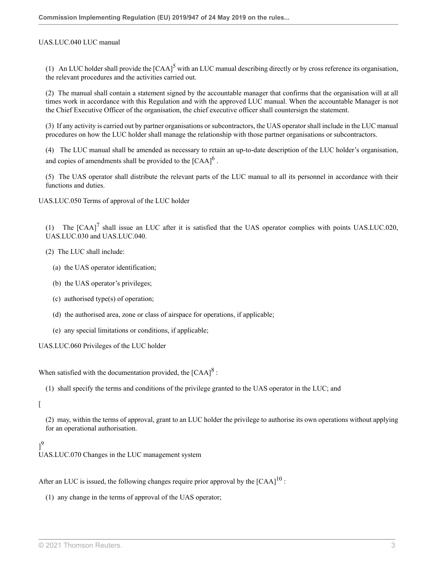#### UAS.LUC.040 LUC manual

<span id="page-57-0"></span>(1) An LUC holder shall provide the  $[CAA]^5$  $[CAA]^5$  with an LUC manual describing directly or by cross reference its organisation, the relevant procedures and the activities carried out.

(2) The manual shall contain a statement signed by the accountable manager that confirms that the organisation will at all times work in accordance with this Regulation and with the approved LUC manual. When the accountable Manager is not the Chief Executive Officer of the organisation, the chief executive officer shall countersign the statement.

(3) If any activity is carried out by partner organisations or subcontractors, the UAS operator shall include in the LUC manual procedures on how the LUC holder shall manage the relationship with those partner organisations or subcontractors.

<span id="page-57-1"></span>(4) The LUC manual shall be amended as necessary to retain an up-to-date description of the LUC holder's organisation, and copies of amendments shall be provided to the  $[{\rm CAA}]^6$  $[{\rm CAA}]^6$ .

(5) The UAS operator shall distribute the relevant parts of the LUC manual to all its personnel in accordance with their functions and duties.

UAS.LUC.050 Terms of approval of the LUC holder

<span id="page-57-2"></span>(1) The  $[CAA]<sup>7</sup>$  $[CAA]<sup>7</sup>$  $[CAA]<sup>7</sup>$  shall issue an LUC after it is satisfied that the UAS operator complies with points UAS.LUC.020, UAS.LUC.030 and UAS.LUC.040.

(2) The LUC shall include:

- (a) the UAS operator identification;
- (b) the UAS operator's privileges;
- (c) authorised type(s) of operation;
- (d) the authorised area, zone or class of airspace for operations, if applicable;
- <span id="page-57-3"></span>(e) any special limitations or conditions, if applicable;

UAS.LUC.060 Privileges of the LUC holder

When satisfied with the documentation provided, the  $[{\rm CAA}]^8$  $[{\rm CAA}]^8$ :

(1) shall specify the terms and conditions of the privilege granted to the UAS operator in the LUC; and

#### $\lceil$

(2) may, within the terms of approval, grant to an LUC holder the privilege to authorise its own operations without applying for an operational authorisation.

### <span id="page-57-4"></span>] [9](#page-58-8) UAS.LUC.070 Changes in the LUC management system

After an LUC is issued, the following changes require prior approval by the  $[CAA]^{10}$  $[CAA]^{10}$  $[CAA]^{10}$ :

<span id="page-57-5"></span>(1) any change in the terms of approval of the UAS operator;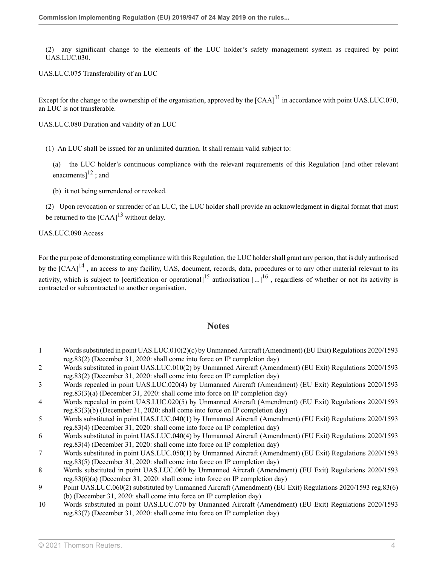(2) any significant change to the elements of the LUC holder's safety management system as required by point UAS.LUC.030.

UAS.LUC.075 Transferability of an LUC

Except for the change to the ownership of the organisation, approved by the  $[{\rm CA}]^{11}$  $[{\rm CA}]^{11}$  $[{\rm CA}]^{11}$  in accordance with point UAS.LUC.070, an LUC is not transferable.

UAS.LUC.080 Duration and validity of an LUC

(1) An LUC shall be issued for an unlimited duration. It shall remain valid subject to:

<span id="page-58-11"></span><span id="page-58-10"></span>(a) the LUC holder's continuous compliance with the relevant requirements of this Regulation [and other relevant enactments] $^{12}$  $^{12}$  $^{12}$ ; and

<span id="page-58-12"></span>(b) it not being surrendered or revoked.

(2) Upon revocation or surrender of an LUC, the LUC holder shall provide an acknowledgment in digital format that must be returned to the  $[{\rm CAA}]^{13}$  $[{\rm CAA}]^{13}$  $[{\rm CAA}]^{13}$  without delay.

UAS.LUC.090 Access

<span id="page-58-13"></span>For the purpose of demonstrating compliance with this Regulation, the LUC holder shall grant any person, that is duly authorised by the  $[CAA]^{14}$  $[CAA]^{14}$  $[CAA]^{14}$ , an access to any facility, UAS, document, records, data, procedures or to any other material relevant to its activity, which is subject to [certification or operational]<sup>[15](#page-59-4)</sup> authorisation [...]<sup>[16](#page-59-5)</sup>, regardless of whether or not its activity is contracted or subcontracted to another organisation.

#### <span id="page-58-15"></span><span id="page-58-14"></span>**Notes**

- <span id="page-58-0"></span>[1](#page-55-0) Words substituted in point UAS.LUC.010(2)(c) by Unmanned Aircraft (Amendment) (EU Exit) Regulations 2020/1593 [reg.83\(2\)](http://uk.westlaw.com/Document/I649E516042D011EB9399B753ED3F9B92/View/FullText.html?originationContext=document&transitionType=DocumentItem&vr=3.0&rs=PLUK1.0&contextData=(sc.Search)) (December 31, 2020: shall come into force on IP completion day)
- <span id="page-58-1"></span>[2](#page-55-1) Words substituted in point UAS.LUC.010(2) by Unmanned Aircraft (Amendment) (EU Exit) Regulations 2020/1593 [reg.83\(2\)](http://uk.westlaw.com/Document/I649E516042D011EB9399B753ED3F9B92/View/FullText.html?originationContext=document&transitionType=DocumentItem&vr=3.0&rs=PLUK1.0&contextData=(sc.Search)) (December 31, 2020: shall come into force on IP completion day)
- <span id="page-58-2"></span>[3](#page-55-2) Words repealed in point UAS.LUC.020(4) by Unmanned Aircraft (Amendment) (EU Exit) Regulations 2020/1593 [reg.83\(3\)\(a\)](http://uk.westlaw.com/Document/I649E516042D011EB9399B753ED3F9B92/View/FullText.html?originationContext=document&transitionType=DocumentItem&vr=3.0&rs=PLUK1.0&contextData=(sc.Search)) (December 31, 2020: shall come into force on IP completion day)
- <span id="page-58-3"></span>[4](#page-55-3) Words repealed in point UAS.LUC.020(5) by Unmanned Aircraft (Amendment) (EU Exit) Regulations 2020/1593 [reg.83\(3\)\(b\)](http://uk.westlaw.com/Document/I649E516042D011EB9399B753ED3F9B92/View/FullText.html?originationContext=document&transitionType=DocumentItem&vr=3.0&rs=PLUK1.0&contextData=(sc.Search)) (December 31, 2020: shall come into force on IP completion day)
- <span id="page-58-4"></span>[5](#page-57-0) Words substituted in point UAS.LUC.040(1) by Unmanned Aircraft (Amendment) (EU Exit) Regulations 2020/1593 [reg.83\(4\)](http://uk.westlaw.com/Document/I649E516042D011EB9399B753ED3F9B92/View/FullText.html?originationContext=document&transitionType=DocumentItem&vr=3.0&rs=PLUK1.0&contextData=(sc.Search)) (December 31, 2020: shall come into force on IP completion day)
- <span id="page-58-5"></span>[6](#page-57-1) Words substituted in point UAS.LUC.040(4) by Unmanned Aircraft (Amendment) (EU Exit) Regulations 2020/1593 [reg.83\(4\)](http://uk.westlaw.com/Document/I649E516042D011EB9399B753ED3F9B92/View/FullText.html?originationContext=document&transitionType=DocumentItem&vr=3.0&rs=PLUK1.0&contextData=(sc.Search)) (December 31, 2020: shall come into force on IP completion day)
- <span id="page-58-6"></span>[7](#page-57-2) Words substituted in point UAS.LUC.050(1) by Unmanned Aircraft (Amendment) (EU Exit) Regulations 2020/1593 [reg.83\(5\)](http://uk.westlaw.com/Document/I649E516042D011EB9399B753ED3F9B92/View/FullText.html?originationContext=document&transitionType=DocumentItem&vr=3.0&rs=PLUK1.0&contextData=(sc.Search)) (December 31, 2020: shall come into force on IP completion day)
- <span id="page-58-7"></span>[8](#page-57-3) Words substituted in point UAS.LUC.060 by Unmanned Aircraft (Amendment) (EU Exit) Regulations 2020/1593 [reg.83\(6\)\(a\)](http://uk.westlaw.com/Document/I649E516042D011EB9399B753ED3F9B92/View/FullText.html?originationContext=document&transitionType=DocumentItem&vr=3.0&rs=PLUK1.0&contextData=(sc.Search)) (December 31, 2020: shall come into force on IP completion day)
- <span id="page-58-8"></span>[9](#page-57-4) Point UAS.LUC.060(2) substituted by Unmanned Aircraft (Amendment) (EU Exit) Regulations 2020/1593 [reg.83\(6\)](http://uk.westlaw.com/Document/I649E516042D011EB9399B753ED3F9B92/View/FullText.html?originationContext=document&transitionType=DocumentItem&vr=3.0&rs=PLUK1.0&contextData=(sc.Search)) [\(b\)](http://uk.westlaw.com/Document/I649E516042D011EB9399B753ED3F9B92/View/FullText.html?originationContext=document&transitionType=DocumentItem&vr=3.0&rs=PLUK1.0&contextData=(sc.Search)) (December 31, 2020: shall come into force on IP completion day)
- <span id="page-58-9"></span>[10](#page-57-5) Words substituted in point UAS.LUC.070 by Unmanned Aircraft (Amendment) (EU Exit) Regulations 2020/1593 [reg.83\(7\)](http://uk.westlaw.com/Document/I649E516042D011EB9399B753ED3F9B92/View/FullText.html?originationContext=document&transitionType=DocumentItem&vr=3.0&rs=PLUK1.0&contextData=(sc.Search)) (December 31, 2020: shall come into force on IP completion day)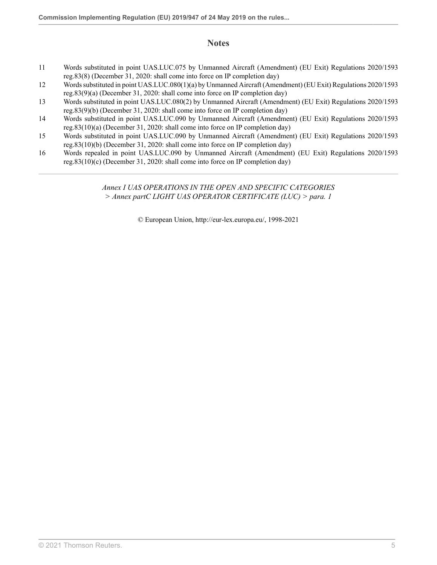## **Notes**

- <span id="page-59-0"></span>[11](#page-58-10) Words substituted in point UAS.LUC.075 by Unmanned Aircraft (Amendment) (EU Exit) Regulations 2020/1593 [reg.83\(8\)](http://uk.westlaw.com/Document/I649E516042D011EB9399B753ED3F9B92/View/FullText.html?originationContext=document&transitionType=DocumentItem&vr=3.0&rs=PLUK1.0&contextData=(sc.Search)) (December 31, 2020: shall come into force on IP completion day)
- <span id="page-59-1"></span>[12](#page-58-11) Words substituted in point UAS.LUC.080(1)(a) by Unmanned Aircraft (Amendment) (EU Exit) Regulations 2020/1593 [reg.83\(9\)\(a\)](http://uk.westlaw.com/Document/I649E516042D011EB9399B753ED3F9B92/View/FullText.html?originationContext=document&transitionType=DocumentItem&vr=3.0&rs=PLUK1.0&contextData=(sc.Search)) (December 31, 2020: shall come into force on IP completion day)
- <span id="page-59-2"></span>[13](#page-58-12) Words substituted in point UAS.LUC.080(2) by Unmanned Aircraft (Amendment) (EU Exit) Regulations 2020/1593 [reg.83\(9\)\(b\)](http://uk.westlaw.com/Document/I649E516042D011EB9399B753ED3F9B92/View/FullText.html?originationContext=document&transitionType=DocumentItem&vr=3.0&rs=PLUK1.0&contextData=(sc.Search)) (December 31, 2020: shall come into force on IP completion day)
- <span id="page-59-3"></span>[14](#page-58-13) Words substituted in point UAS.LUC.090 by Unmanned Aircraft (Amendment) (EU Exit) Regulations 2020/1593 [reg.83\(10\)\(a\)](http://uk.westlaw.com/Document/I649E516042D011EB9399B753ED3F9B92/View/FullText.html?originationContext=document&transitionType=DocumentItem&vr=3.0&rs=PLUK1.0&contextData=(sc.Search)) (December 31, 2020: shall come into force on IP completion day)
- <span id="page-59-4"></span>[15](#page-58-14) Words substituted in point UAS.LUC.090 by Unmanned Aircraft (Amendment) (EU Exit) Regulations 2020/1593 [reg.83\(10\)\(b\)](http://uk.westlaw.com/Document/I649E516042D011EB9399B753ED3F9B92/View/FullText.html?originationContext=document&transitionType=DocumentItem&vr=3.0&rs=PLUK1.0&contextData=(sc.Search)) (December 31, 2020: shall come into force on IP completion day)
- <span id="page-59-5"></span>[16](#page-58-15) Words repealed in point UAS.LUC.090 by Unmanned Aircraft (Amendment) (EU Exit) Regulations 2020/1593 [reg.83\(10\)\(c\)](http://uk.westlaw.com/Document/I649E516042D011EB9399B753ED3F9B92/View/FullText.html?originationContext=document&transitionType=DocumentItem&vr=3.0&rs=PLUK1.0&contextData=(sc.Search)) (December 31, 2020: shall come into force on IP completion day)

### *Annex I UAS OPERATIONS IN THE OPEN AND SPECIFIC CATEGORIES > Annex partC LIGHT UAS OPERATOR CERTIFICATE (LUC) > para. 1*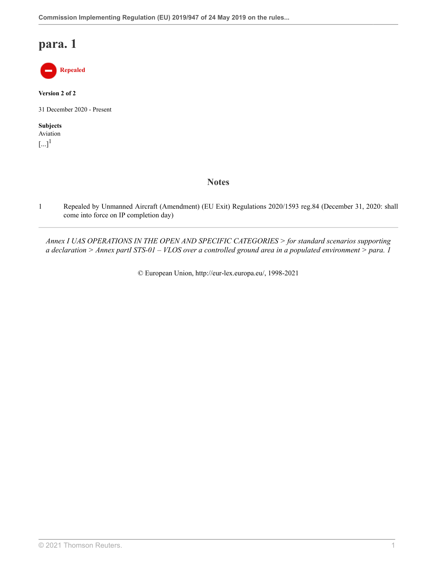

**Version 2 of 2**

31 December 2020 - Present

<span id="page-60-1"></span>**Subjects** Aviation  $\left[...\right]^{1}$  $\left[...\right]^{1}$  $\left[...\right]^{1}$ 

## **Notes**

<span id="page-60-0"></span>[1](#page-60-1) Repealed by Unmanned Aircraft (Amendment) (EU Exit) Regulations 2020/1593 [reg.84](http://uk.westlaw.com/Document/I1E7FFD6042CF11EB9399B753ED3F9B92/View/FullText.html?originationContext=document&transitionType=DocumentItem&vr=3.0&rs=PLUK1.0&contextData=(sc.Search)) (December 31, 2020: shall come into force on IP completion day)

*Annex I UAS OPERATIONS IN THE OPEN AND SPECIFIC CATEGORIES > for standard scenarios supporting a declaration > Annex partI STS-01 – VLOS over a controlled ground area in a populated environment > para. 1*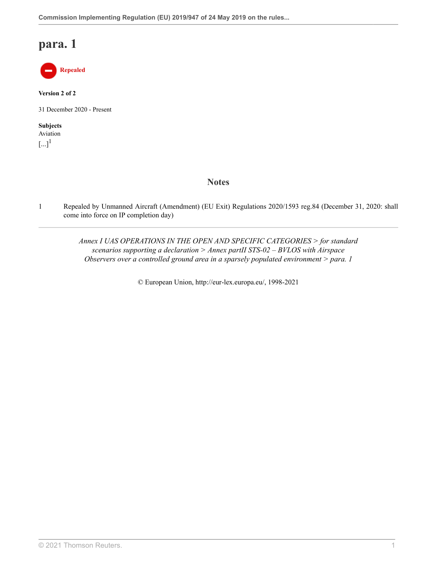

**Version 2 of 2**

31 December 2020 - Present

<span id="page-61-1"></span>**Subjects** Aviation  $\left[...\right]^{1}$  $\left[...\right]^{1}$  $\left[...\right]^{1}$ 

**Notes**

<span id="page-61-0"></span>[1](#page-61-1) Repealed by Unmanned Aircraft (Amendment) (EU Exit) Regulations 2020/1593 [reg.84](http://uk.westlaw.com/Document/I1E7FFD6042CF11EB9399B753ED3F9B92/View/FullText.html?originationContext=document&transitionType=DocumentItem&vr=3.0&rs=PLUK1.0&contextData=(sc.Search)) (December 31, 2020: shall come into force on IP completion day)

> *Annex I UAS OPERATIONS IN THE OPEN AND SPECIFIC CATEGORIES > for standard scenarios supporting a declaration > Annex partII STS-02 – BVLOS with Airspace Observers over a controlled ground area in a sparsely populated environment > para. 1*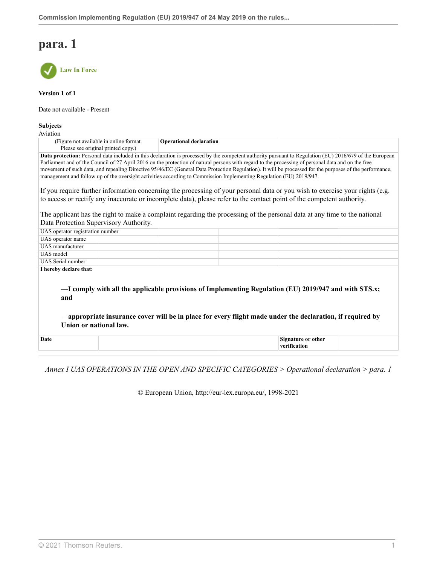

**Version 1 of 1**

Date not available - Present

#### **Subjects**

Aviation

| *********                                                                                                                                                       |                         |  |
|-----------------------------------------------------------------------------------------------------------------------------------------------------------------|-------------------------|--|
| (Figure not available in online format.)                                                                                                                        | Operational declaration |  |
| Please see original printed copy.)                                                                                                                              |                         |  |
| <b>Data protection:</b> Personal data included in this declaration is processed by the competent authority pursuant to Regulation (EU) 2016/679 of the European |                         |  |

Parliament and of the Council of 27 April 2016 on the protection of natural persons with regard to the processing of personal data and on the free movement of such data, and repealing Directive 95/46/EC (General Data Protection Regulation). It will be processed for the purposes of the performance, management and follow up of the oversight activities according to Commission Implementing Regulation (EU) 2019/947.

If you require further information concerning the processing of your personal data or you wish to exercise your rights (e.g. to access or rectify any inaccurate or incomplete data), please refer to the contact point of the competent authority.

The applicant has the right to make a complaint regarding the processing of the personal data at any time to the national Data Protection Supervisory Authority.

| UAS operator registration number |                                                                                                                                                                                                                    |
|----------------------------------|--------------------------------------------------------------------------------------------------------------------------------------------------------------------------------------------------------------------|
| UAS operator name                |                                                                                                                                                                                                                    |
| UAS manufacturer                 |                                                                                                                                                                                                                    |
| UAS model                        |                                                                                                                                                                                                                    |
| UAS Serial number                |                                                                                                                                                                                                                    |
| I hereby declare that:           |                                                                                                                                                                                                                    |
| and<br>Union or national law.    | -I comply with all the applicable provisions of Implementing Regulation (EU) 2019/947 and with STS.x;<br>-appropriate insurance cover will be in place for every flight made under the declaration, if required by |
| Date                             | Signature or other<br>verification                                                                                                                                                                                 |

*Annex I UAS OPERATIONS IN THE OPEN AND SPECIFIC CATEGORIES > Operational declaration > para. 1*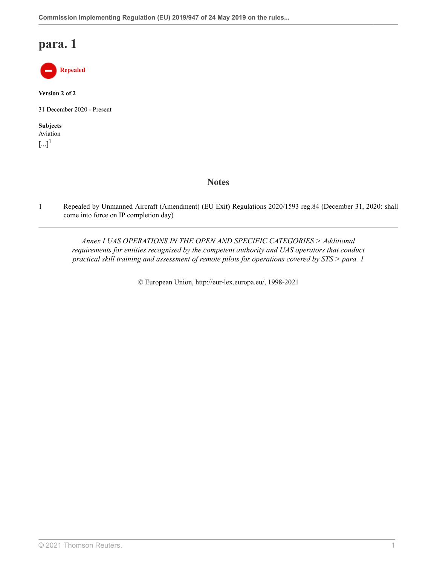

**Version 2 of 2**

31 December 2020 - Present

<span id="page-63-1"></span>**Subjects** Aviation  $\left[...\right]^{1}$  $\left[...\right]^{1}$  $\left[...\right]^{1}$ 

**Notes**

<span id="page-63-0"></span>[1](#page-63-1) Repealed by Unmanned Aircraft (Amendment) (EU Exit) Regulations 2020/1593 [reg.84](http://uk.westlaw.com/Document/I1E7FFD6042CF11EB9399B753ED3F9B92/View/FullText.html?originationContext=document&transitionType=DocumentItem&vr=3.0&rs=PLUK1.0&contextData=(sc.Search)) (December 31, 2020: shall come into force on IP completion day)

*Annex I UAS OPERATIONS IN THE OPEN AND SPECIFIC CATEGORIES > Additional requirements for entities recognised by the competent authority and UAS operators that conduct practical skill training and assessment of remote pilots for operations covered by STS > para. 1*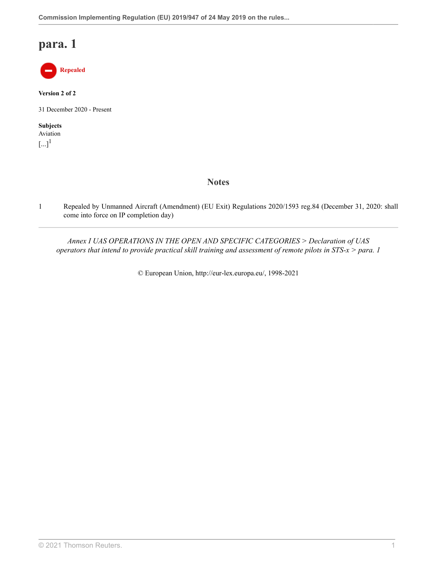

**Version 2 of 2**

31 December 2020 - Present

<span id="page-64-1"></span>**Subjects** Aviation  $\left[...\right]^{1}$  $\left[...\right]^{1}$  $\left[...\right]^{1}$ 

## **Notes**

<span id="page-64-0"></span>[1](#page-64-1) Repealed by Unmanned Aircraft (Amendment) (EU Exit) Regulations 2020/1593 [reg.84](http://uk.westlaw.com/Document/I1E7FFD6042CF11EB9399B753ED3F9B92/View/FullText.html?originationContext=document&transitionType=DocumentItem&vr=3.0&rs=PLUK1.0&contextData=(sc.Search)) (December 31, 2020: shall come into force on IP completion day)

*Annex I UAS OPERATIONS IN THE OPEN AND SPECIFIC CATEGORIES > Declaration of UAS operators that intend to provide practical skill training and assessment of remote pilots in STS-x > para. 1*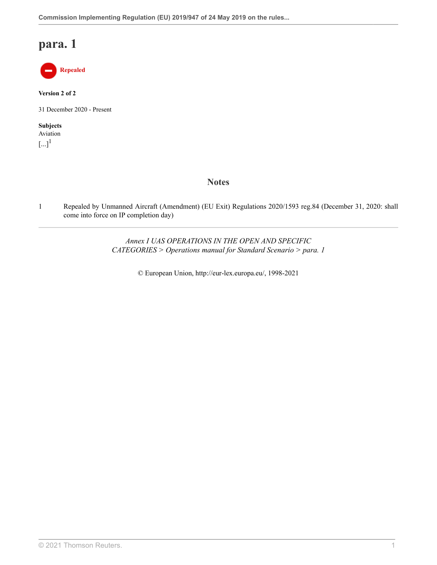

**Version 2 of 2**

31 December 2020 - Present

<span id="page-65-1"></span>**Subjects** Aviation  $\left[...\right]^{1}$  $\left[...\right]^{1}$  $\left[...\right]^{1}$ 

**Notes**

<span id="page-65-0"></span>[1](#page-65-1) Repealed by Unmanned Aircraft (Amendment) (EU Exit) Regulations 2020/1593 [reg.84](http://uk.westlaw.com/Document/I1E7FFD6042CF11EB9399B753ED3F9B92/View/FullText.html?originationContext=document&transitionType=DocumentItem&vr=3.0&rs=PLUK1.0&contextData=(sc.Search)) (December 31, 2020: shall come into force on IP completion day)

> *Annex I UAS OPERATIONS IN THE OPEN AND SPECIFIC CATEGORIES > Operations manual for Standard Scenario > para. 1*